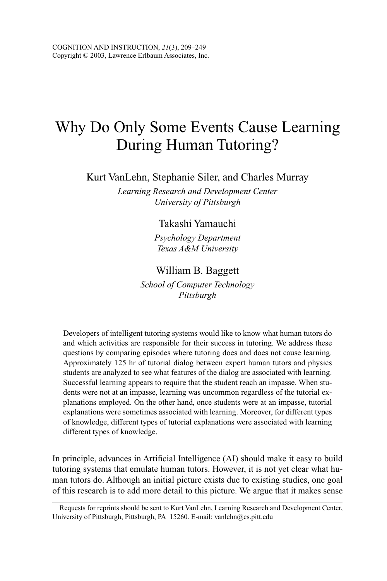# Why Do Only Some Events Cause Learning During Human Tutoring?

Kurt VanLehn, Stephanie Siler, and Charles Murray

*Learning Research and Development Center University of Pittsburgh*

# Takashi Yamauchi

*Psychology Department Texas A&M University*

## William B. Baggett

*School of Computer Technology Pittsburgh*

Developers of intelligent tutoring systems would like to know what human tutors do and which activities are responsible for their success in tutoring. We address these questions by comparing episodes where tutoring does and does not cause learning. Approximately 125 hr of tutorial dialog between expert human tutors and physics students are analyzed to see what features of the dialog are associated with learning. Successful learning appears to require that the student reach an impasse. When students were not at an impasse, learning was uncommon regardless of the tutorial explanations employed. On the other hand, once students were at an impasse, tutorial explanations were sometimes associated with learning. Moreover, for different types of knowledge, different types of tutorial explanations were associated with learning different types of knowledge.

In principle, advances in Artificial Intelligence (AI) should make it easy to build tutoring systems that emulate human tutors. However, it is not yet clear what human tutors do. Although an initial picture exists due to existing studies, one goal of this research is to add more detail to this picture. We argue that it makes sense

Requests for reprints should be sent to Kurt VanLehn, Learning Research and Development Center, University of Pittsburgh, Pittsburgh, PA 15260. E-mail: vanlehn@cs.pitt.edu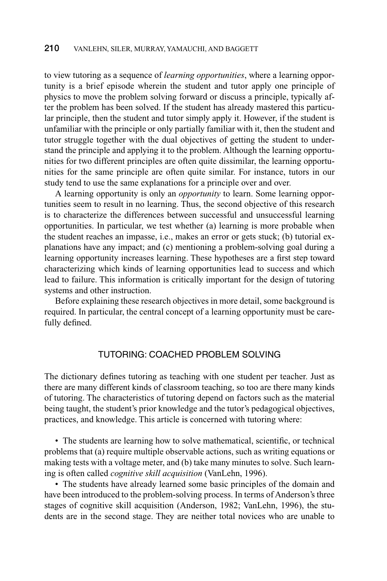to view tutoring as a sequence of *learning opportunities*, where a learning opportunity is a brief episode wherein the student and tutor apply one principle of physics to move the problem solving forward or discuss a principle, typically after the problem has been solved. If the student has already mastered this particular principle, then the student and tutor simply apply it. However, if the student is unfamiliar with the principle or only partially familiar with it, then the student and tutor struggle together with the dual objectives of getting the student to understand the principle and applying it to the problem. Although the learning opportunities for two different principles are often quite dissimilar, the learning opportunities for the same principle are often quite similar. For instance, tutors in our study tend to use the same explanations for a principle over and over.

A learning opportunity is only an *opportunity* to learn. Some learning opportunities seem to result in no learning. Thus, the second objective of this research is to characterize the differences between successful and unsuccessful learning opportunities. In particular, we test whether (a) learning is more probable when the student reaches an impasse, i.e., makes an error or gets stuck; (b) tutorial explanations have any impact; and (c) mentioning a problem-solving goal during a learning opportunity increases learning. These hypotheses are a first step toward characterizing which kinds of learning opportunities lead to success and which lead to failure. This information is critically important for the design of tutoring systems and other instruction.

Before explaining these research objectives in more detail, some background is required. In particular, the central concept of a learning opportunity must be carefully defined.

#### TUTORING: COACHED PROBLEM SOLVING

The dictionary defines tutoring as teaching with one student per teacher. Just as there are many different kinds of classroom teaching, so too are there many kinds of tutoring. The characteristics of tutoring depend on factors such as the material being taught, the student's prior knowledge and the tutor's pedagogical objectives, practices, and knowledge. This article is concerned with tutoring where:

• The students are learning how to solve mathematical, scientific, or technical problems that (a) require multiple observable actions, such as writing equations or making tests with a voltage meter, and (b) take many minutes to solve. Such learning is often called *cognitive skill acquisition* (VanLehn, 1996).

• The students have already learned some basic principles of the domain and have been introduced to the problem-solving process. In terms of Anderson's three stages of cognitive skill acquisition (Anderson, 1982; VanLehn, 1996), the students are in the second stage. They are neither total novices who are unable to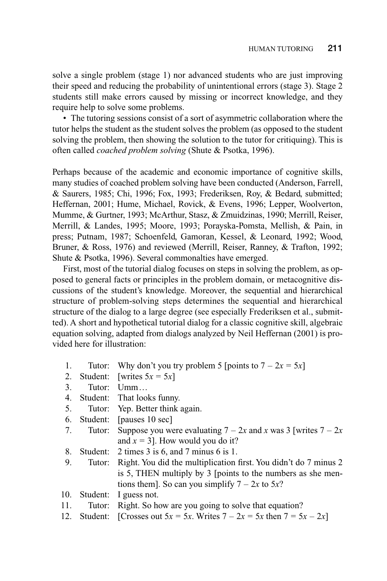solve a single problem (stage 1) nor advanced students who are just improving their speed and reducing the probability of unintentional errors (stage 3). Stage 2 students still make errors caused by missing or incorrect knowledge, and they require help to solve some problems.

• The tutoring sessions consist of a sort of asymmetric collaboration where the tutor helps the student as the student solves the problem (as opposed to the student solving the problem, then showing the solution to the tutor for critiquing). This is often called *coached problem solving* (Shute & Psotka, 1996).

Perhaps because of the academic and economic importance of cognitive skills, many studies of coached problem solving have been conducted (Anderson, Farrell, & Saurers, 1985; Chi, 1996; Fox, 1993; Frederiksen, Roy, & Bedard, submitted; Heffernan, 2001; Hume, Michael, Rovick, & Evens, 1996; Lepper, Woolverton, Mumme, & Gurtner, 1993; McArthur, Stasz, & Zmuidzinas, 1990; Merrill, Reiser, Merrill, & Landes, 1995; Moore, 1993; Porayska-Pomsta, Mellish, & Pain, in press; Putnam, 1987; Schoenfeld, Gamoran, Kessel, & Leonard, 1992; Wood, Bruner, & Ross, 1976) and reviewed (Merrill, Reiser, Ranney, & Trafton, 1992; Shute & Psotka, 1996). Several commonalties have emerged.

First, most of the tutorial dialog focuses on steps in solving the problem, as opposed to general facts or principles in the problem domain, or metacognitive discussions of the student's knowledge. Moreover, the sequential and hierarchical structure of problem-solving steps determines the sequential and hierarchical structure of the dialog to a large degree (see especially Frederiksen et al., submitted). A short and hypothetical tutorial dialog for a classic cognitive skill, algebraic equation solving, adapted from dialogs analyzed by Neil Heffernan (2001) is provided here for illustration:

- 1. Tutor: Why don't you try problem 5 [points to  $7 2x = 5x$ ]
- 2. Student: [writes  $5x = 5x$ ]
- 3. Tutor: Umm…
- 4. Student: That looks funny.
- 5. Tutor: Yep. Better think again.
- 6. Student: [pauses 10 sec]
- 7. Tutor: Suppose you were evaluating  $7 2x$  and *x* was 3 [writes  $7 2x$ and  $x = 3$ . How would you do it?
- 8. Student: 2 times 3 is 6, and 7 minus 6 is 1.
- 9. Tutor: Right. You did the multiplication first. You didn't do 7 minus 2 is 5, THEN multiply by 3 [points to the numbers as she mentions them]. So can you simplify  $7 - 2x$  to 5*x*?
- 10. Student: I guess not.
- 11. Tutor: Right. So how are you going to solve that equation?
- 12. Student: [Crosses out  $5x = 5x$ . Writes  $7 2x = 5x$  then  $7 = 5x 2x$ ]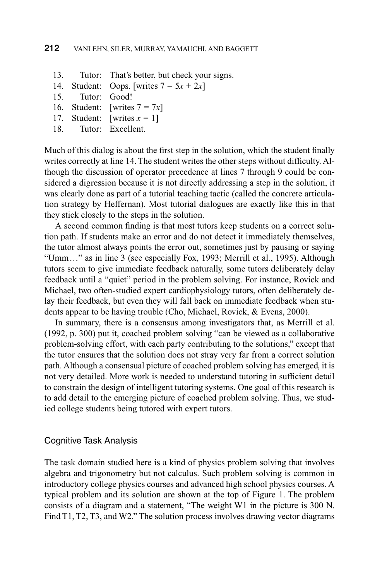13. Tutor: That's better, but check your signs.

- 14. Student: Oops. [writes  $7 = 5x + 2x$ ]
- 15. Tutor: Good!
- 16. Student: [writes 7 = 7*x*]
- 17. Student: [writes  $x = 1$ ]
- 18. Tutor: Excellent.

Much of this dialog is about the first step in the solution, which the student finally writes correctly at line 14. The student writes the other steps without difficulty. Although the discussion of operator precedence at lines 7 through 9 could be considered a digression because it is not directly addressing a step in the solution, it was clearly done as part of a tutorial teaching tactic (called the concrete articulation strategy by Heffernan). Most tutorial dialogues are exactly like this in that they stick closely to the steps in the solution.

A second common finding is that most tutors keep students on a correct solution path. If students make an error and do not detect it immediately themselves, the tutor almost always points the error out, sometimes just by pausing or saying "Umm…" as in line 3 (see especially Fox, 1993; Merrill et al., 1995). Although tutors seem to give immediate feedback naturally, some tutors deliberately delay feedback until a "quiet" period in the problem solving. For instance, Rovick and Michael, two often-studied expert cardiophysiology tutors, often deliberately delay their feedback, but even they will fall back on immediate feedback when students appear to be having trouble (Cho, Michael, Rovick, & Evens, 2000).

In summary, there is a consensus among investigators that, as Merrill et al. (1992, p. 300) put it, coached problem solving "can be viewed as a collaborative problem-solving effort, with each party contributing to the solutions," except that the tutor ensures that the solution does not stray very far from a correct solution path. Although a consensual picture of coached problem solving has emerged, it is not very detailed. More work is needed to understand tutoring in sufficient detail to constrain the design of intelligent tutoring systems. One goal of this research is to add detail to the emerging picture of coached problem solving. Thus, we studied college students being tutored with expert tutors.

#### Cognitive Task Analysis

The task domain studied here is a kind of physics problem solving that involves algebra and trigonometry but not calculus. Such problem solving is common in introductory college physics courses and advanced high school physics courses. A typical problem and its solution are shown at the top of Figure 1. The problem consists of a diagram and a statement, "The weight W1 in the picture is 300 N. Find T1, T2, T3, and W2." The solution process involves drawing vector diagrams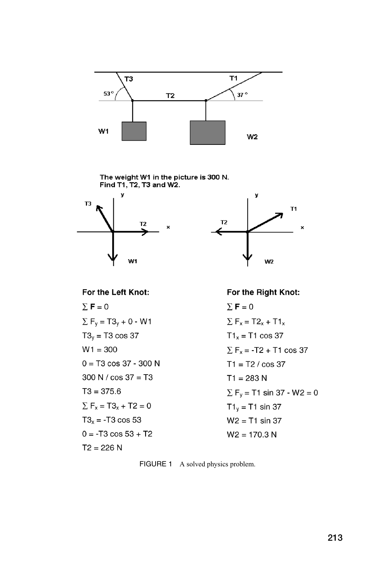

The weight W1 in the picture is 300 N. Find T1, T2, T3 and W2.





For the Left Knot:  $\Sigma$  F = 0  $\Sigma F_y = T3_y + 0 - W1$  $T3_v = T3 \cos 37$  $W1 = 300$  $0 = T3 \cos 37 - 300 N$  $300 N / \cos 37 = T3$  $T3 = 375.6$  $\Sigma$  F<sub>x</sub> = T3<sub>x</sub> + T2 = 0  $T3_x = -T3 \cos 53$  $0 = -T3 \cos 53 + T2$  $T2 = 226 N$ 

For the Right Knot:

 $\Sigma$  F = 0  $\Sigma$  F<sub>x</sub> = T2<sub>x</sub> + T1<sub>x</sub>  $T1_x = T1 \cos 37$  $\Sigma$  F<sub>x</sub> = -T2 + T1 cos 37  $T1 = T2 / cos 37$  $T1 = 283 N$  $\Sigma$  F<sub>y</sub> = T1 sin 37 - W2 = 0  $T1_y = T1 \sin 37$  $W2 = T1 \sin 37$  $W2 = 170.3 N$ 

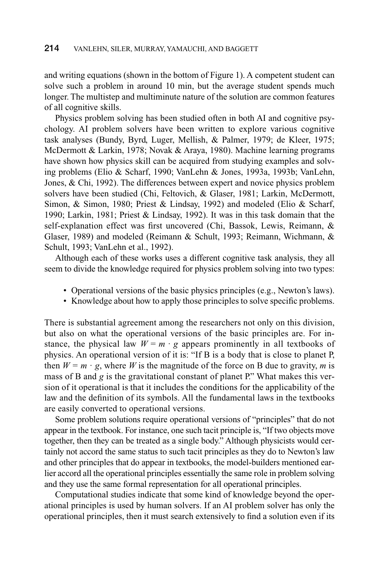and writing equations (shown in the bottom of Figure 1). A competent student can solve such a problem in around 10 min, but the average student spends much longer. The multistep and multiminute nature of the solution are common features of all cognitive skills.

Physics problem solving has been studied often in both AI and cognitive psychology. AI problem solvers have been written to explore various cognitive task analyses (Bundy, Byrd, Luger, Mellish, & Palmer, 1979; de Kleer, 1975; McDermott & Larkin, 1978; Novak & Araya, 1980). Machine learning programs have shown how physics skill can be acquired from studying examples and solving problems (Elio & Scharf, 1990; VanLehn & Jones, 1993a, 1993b; VanLehn, Jones, & Chi, 1992). The differences between expert and novice physics problem solvers have been studied (Chi, Feltovich, & Glaser, 1981; Larkin, McDermott, Simon, & Simon, 1980; Priest & Lindsay, 1992) and modeled (Elio & Scharf, 1990; Larkin, 1981; Priest & Lindsay, 1992). It was in this task domain that the self-explanation effect was first uncovered (Chi, Bassok, Lewis, Reimann, & Glaser, 1989) and modeled (Reimann & Schult, 1993; Reimann, Wichmann, & Schult, 1993; VanLehn et al., 1992).

Although each of these works uses a different cognitive task analysis, they all seem to divide the knowledge required for physics problem solving into two types:

- Operational versions of the basic physics principles (e.g., Newton's laws).
- Knowledge about how to apply those principles to solve specific problems.

There is substantial agreement among the researchers not only on this division, but also on what the operational versions of the basic principles are. For instance, the physical law  $W = m \cdot g$  appears prominently in all textbooks of physics. An operational version of it is: "If B is a body that is close to planet P, then  $W = m \cdot g$ , where *W* is the magnitude of the force on B due to gravity, *m* is mass of B and  $g$  is the gravitational constant of planet P." What makes this version of it operational is that it includes the conditions for the applicability of the law and the definition of its symbols. All the fundamental laws in the textbooks are easily converted to operational versions.

Some problem solutions require operational versions of "principles" that do not appear in the textbook. For instance, one such tacit principle is, "If two objects move together, then they can be treated as a single body." Although physicists would certainly not accord the same status to such tacit principles as they do to Newton's law and other principles that do appear in textbooks, the model-builders mentioned earlier accord all the operational principles essentially the same role in problem solving and they use the same formal representation for all operational principles.

Computational studies indicate that some kind of knowledge beyond the operational principles is used by human solvers. If an AI problem solver has only the operational principles, then it must search extensively to find a solution even if its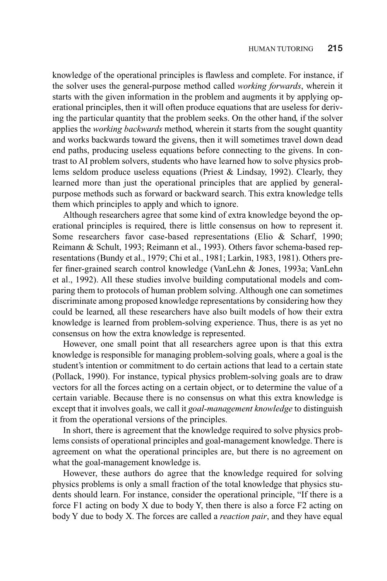knowledge of the operational principles is flawless and complete. For instance, if the solver uses the general-purpose method called *working forwards*, wherein it starts with the given information in the problem and augments it by applying operational principles, then it will often produce equations that are useless for deriving the particular quantity that the problem seeks. On the other hand, if the solver applies the *working backwards* method, wherein it starts from the sought quantity and works backwards toward the givens, then it will sometimes travel down dead end paths, producing useless equations before connecting to the givens. In contrast to AI problem solvers, students who have learned how to solve physics problems seldom produce useless equations (Priest & Lindsay, 1992). Clearly, they learned more than just the operational principles that are applied by generalpurpose methods such as forward or backward search. This extra knowledge tells them which principles to apply and which to ignore.

Although researchers agree that some kind of extra knowledge beyond the operational principles is required, there is little consensus on how to represent it. Some researchers favor case-based representations (Elio & Scharf, 1990; Reimann & Schult, 1993; Reimann et al., 1993). Others favor schema-based representations (Bundy et al., 1979; Chi et al., 1981; Larkin, 1983, 1981). Others prefer finer-grained search control knowledge (VanLehn & Jones, 1993a; VanLehn et al., 1992). All these studies involve building computational models and comparing them to protocols of human problem solving. Although one can sometimes discriminate among proposed knowledge representations by considering how they could be learned, all these researchers have also built models of how their extra knowledge is learned from problem-solving experience. Thus, there is as yet no consensus on how the extra knowledge is represented.

However, one small point that all researchers agree upon is that this extra knowledge is responsible for managing problem-solving goals, where a goal is the student's intention or commitment to do certain actions that lead to a certain state (Pollack, 1990). For instance, typical physics problem-solving goals are to draw vectors for all the forces acting on a certain object, or to determine the value of a certain variable. Because there is no consensus on what this extra knowledge is except that it involves goals, we call it *goal-management knowledge* to distinguish it from the operational versions of the principles.

In short, there is agreement that the knowledge required to solve physics problems consists of operational principles and goal-management knowledge. There is agreement on what the operational principles are, but there is no agreement on what the goal-management knowledge is.

However, these authors do agree that the knowledge required for solving physics problems is only a small fraction of the total knowledge that physics students should learn. For instance, consider the operational principle, "If there is a force F1 acting on body X due to body Y, then there is also a force F2 acting on body Y due to body X. The forces are called a *reaction pair*, and they have equal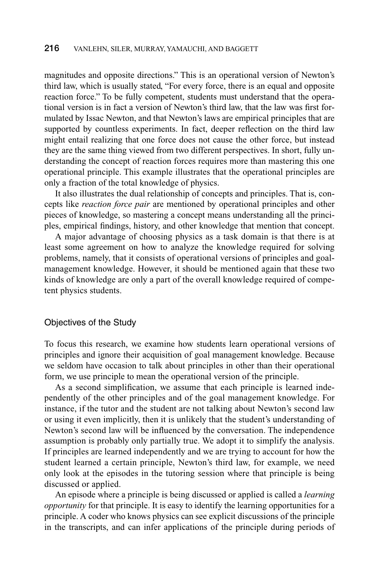magnitudes and opposite directions." This is an operational version of Newton's third law, which is usually stated, "For every force, there is an equal and opposite reaction force." To be fully competent, students must understand that the operational version is in fact a version of Newton's third law, that the law was first formulated by Issac Newton, and that Newton's laws are empirical principles that are supported by countless experiments. In fact, deeper reflection on the third law might entail realizing that one force does not cause the other force, but instead they are the same thing viewed from two different perspectives. In short, fully understanding the concept of reaction forces requires more than mastering this one operational principle. This example illustrates that the operational principles are only a fraction of the total knowledge of physics.

It also illustrates the dual relationship of concepts and principles. That is, concepts like *reaction force pair* are mentioned by operational principles and other pieces of knowledge, so mastering a concept means understanding all the principles, empirical findings, history, and other knowledge that mention that concept.

A major advantage of choosing physics as a task domain is that there is at least some agreement on how to analyze the knowledge required for solving problems, namely, that it consists of operational versions of principles and goalmanagement knowledge. However, it should be mentioned again that these two kinds of knowledge are only a part of the overall knowledge required of competent physics students.

#### Objectives of the Study

To focus this research, we examine how students learn operational versions of principles and ignore their acquisition of goal management knowledge. Because we seldom have occasion to talk about principles in other than their operational form, we use principle to mean the operational version of the principle.

As a second simplification, we assume that each principle is learned independently of the other principles and of the goal management knowledge. For instance, if the tutor and the student are not talking about Newton's second law or using it even implicitly, then it is unlikely that the student's understanding of Newton's second law will be influenced by the conversation. The independence assumption is probably only partially true. We adopt it to simplify the analysis. If principles are learned independently and we are trying to account for how the student learned a certain principle, Newton's third law, for example, we need only look at the episodes in the tutoring session where that principle is being discussed or applied.

An episode where a principle is being discussed or applied is called a *learning opportunity* for that principle. It is easy to identify the learning opportunities for a principle. A coder who knows physics can see explicit discussions of the principle in the transcripts, and can infer applications of the principle during periods of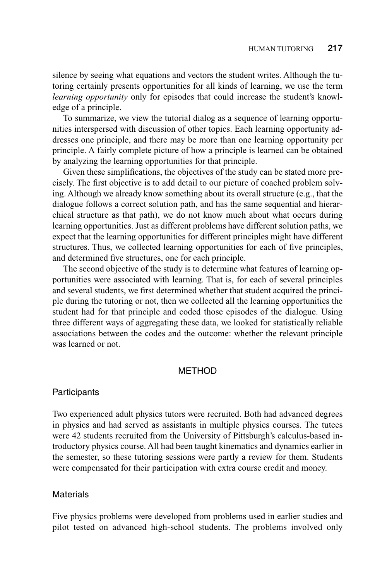silence by seeing what equations and vectors the student writes. Although the tutoring certainly presents opportunities for all kinds of learning, we use the term *learning opportunity* only for episodes that could increase the student's knowledge of a principle.

To summarize, we view the tutorial dialog as a sequence of learning opportunities interspersed with discussion of other topics. Each learning opportunity addresses one principle, and there may be more than one learning opportunity per principle. A fairly complete picture of how a principle is learned can be obtained by analyzing the learning opportunities for that principle.

Given these simplifications, the objectives of the study can be stated more precisely. The first objective is to add detail to our picture of coached problem solving. Although we already know something about its overall structure (e.g., that the dialogue follows a correct solution path, and has the same sequential and hierarchical structure as that path), we do not know much about what occurs during learning opportunities. Just as different problems have different solution paths, we expect that the learning opportunities for different principles might have different structures. Thus, we collected learning opportunities for each of five principles, and determined five structures, one for each principle.

The second objective of the study is to determine what features of learning opportunities were associated with learning. That is, for each of several principles and several students, we first determined whether that student acquired the principle during the tutoring or not, then we collected all the learning opportunities the student had for that principle and coded those episodes of the dialogue. Using three different ways of aggregating these data, we looked for statistically reliable associations between the codes and the outcome: whether the relevant principle was learned or not.

## METHOD

## **Participants**

Two experienced adult physics tutors were recruited. Both had advanced degrees in physics and had served as assistants in multiple physics courses. The tutees were 42 students recruited from the University of Pittsburgh's calculus-based introductory physics course. All had been taught kinematics and dynamics earlier in the semester, so these tutoring sessions were partly a review for them. Students were compensated for their participation with extra course credit and money.

## **Materials**

Five physics problems were developed from problems used in earlier studies and pilot tested on advanced high-school students. The problems involved only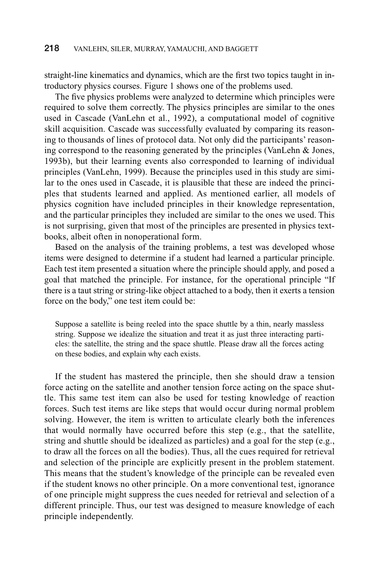straight-line kinematics and dynamics, which are the first two topics taught in introductory physics courses. Figure 1 shows one of the problems used.

The five physics problems were analyzed to determine which principles were required to solve them correctly. The physics principles are similar to the ones used in Cascade (VanLehn et al., 1992), a computational model of cognitive skill acquisition. Cascade was successfully evaluated by comparing its reasoning to thousands of lines of protocol data. Not only did the participants' reasoning correspond to the reasoning generated by the principles (VanLehn & Jones, 1993b), but their learning events also corresponded to learning of individual principles (VanLehn, 1999). Because the principles used in this study are similar to the ones used in Cascade, it is plausible that these are indeed the principles that students learned and applied. As mentioned earlier, all models of physics cognition have included principles in their knowledge representation, and the particular principles they included are similar to the ones we used. This is not surprising, given that most of the principles are presented in physics textbooks, albeit often in nonoperational form.

Based on the analysis of the training problems, a test was developed whose items were designed to determine if a student had learned a particular principle. Each test item presented a situation where the principle should apply, and posed a goal that matched the principle. For instance, for the operational principle "If there is a taut string or string-like object attached to a body, then it exerts a tension force on the body," one test item could be:

Suppose a satellite is being reeled into the space shuttle by a thin, nearly massless string. Suppose we idealize the situation and treat it as just three interacting particles: the satellite, the string and the space shuttle. Please draw all the forces acting on these bodies, and explain why each exists.

If the student has mastered the principle, then she should draw a tension force acting on the satellite and another tension force acting on the space shuttle. This same test item can also be used for testing knowledge of reaction forces. Such test items are like steps that would occur during normal problem solving. However, the item is written to articulate clearly both the inferences that would normally have occurred before this step (e.g., that the satellite, string and shuttle should be idealized as particles) and a goal for the step (e.g., to draw all the forces on all the bodies). Thus, all the cues required for retrieval and selection of the principle are explicitly present in the problem statement. This means that the student's knowledge of the principle can be revealed even if the student knows no other principle. On a more conventional test, ignorance of one principle might suppress the cues needed for retrieval and selection of a different principle. Thus, our test was designed to measure knowledge of each principle independently.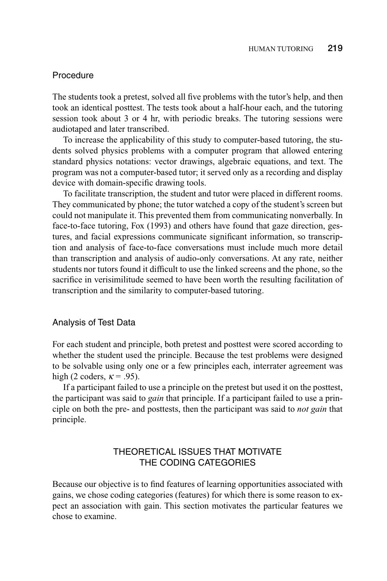## **Procedure**

The students took a pretest, solved all five problems with the tutor's help, and then took an identical posttest. The tests took about a half-hour each, and the tutoring session took about 3 or 4 hr, with periodic breaks. The tutoring sessions were audiotaped and later transcribed.

To increase the applicability of this study to computer-based tutoring, the students solved physics problems with a computer program that allowed entering standard physics notations: vector drawings, algebraic equations, and text. The program was not a computer-based tutor; it served only as a recording and display device with domain-specific drawing tools.

To facilitate transcription, the student and tutor were placed in different rooms. They communicated by phone; the tutor watched a copy of the student's screen but could not manipulate it. This prevented them from communicating nonverbally. In face-to-face tutoring, Fox (1993) and others have found that gaze direction, gestures, and facial expressions communicate significant information, so transcription and analysis of face-to-face conversations must include much more detail than transcription and analysis of audio-only conversations. At any rate, neither students nor tutors found it difficult to use the linked screens and the phone, so the sacrifice in verisimilitude seemed to have been worth the resulting facilitation of transcription and the similarity to computer-based tutoring.

#### Analysis of Test Data

For each student and principle, both pretest and posttest were scored according to whether the student used the principle. Because the test problems were designed to be solvable using only one or a few principles each, interrater agreement was high (2 coders,  $\kappa = .95$ ).

If a participant failed to use a principle on the pretest but used it on the posttest, the participant was said to *gain* that principle. If a participant failed to use a principle on both the pre- and posttests, then the participant was said to *not gain* that principle.

## THEORETICAL ISSUES THAT MOTIVATE THE CODING CATEGORIES

Because our objective is to find features of learning opportunities associated with gains, we chose coding categories (features) for which there is some reason to expect an association with gain. This section motivates the particular features we chose to examine.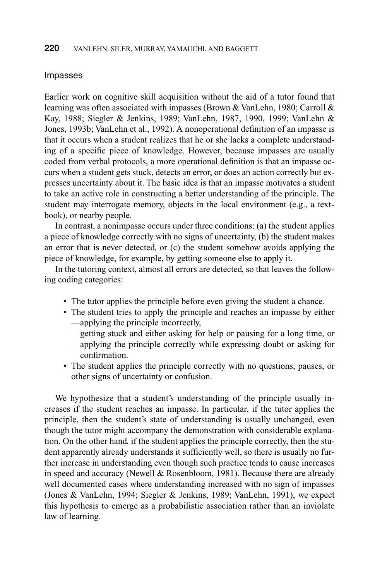#### Impasses

Earlier work on cognitive skill acquisition without the aid of a tutor found that learning was often associated with impasses (Brown & VanLehn, 1980; Carroll & Kay, 1988; Siegler & Jenkins, 1989; VanLehn, 1987, 1990, 1999; VanLehn & Jones, 1993b; VanLehn et al., 1992). A nonoperational definition of an impasse is that it occurs when a student realizes that he or she lacks a complete understanding of a specific piece of knowledge. However, because impasses are usually coded from verbal protocols, a more operational definition is that an impasse occurs when a student gets stuck, detects an error, or does an action correctly but expresses uncertainty about it. The basic idea is that an impasse motivates a student to take an active role in constructing a better understanding of the principle. The student may interrogate memory, objects in the local environment (e.g., a textbook), or nearby people.

In contrast, a nonimpasse occurs under three conditions: (a) the student applies a piece of knowledge correctly with no signs of uncertainty, (b) the student makes an error that is never detected, or (c) the student somehow avoids applying the piece of knowledge, for example, by getting someone else to apply it.

In the tutoring context, almost all errors are detected, so that leaves the following coding categories:

- The tutor applies the principle before even giving the student a chance.
- The student tries to apply the principle and reaches an impasse by either —applying the principle incorrectly,
	- —getting stuck and either asking for help or pausing for a long time, or
	- —applying the principle correctly while expressing doubt or asking for confirmation.
- The student applies the principle correctly with no questions, pauses, or other signs of uncertainty or confusion.

We hypothesize that a student's understanding of the principle usually increases if the student reaches an impasse. In particular, if the tutor applies the principle, then the student's state of understanding is usually unchanged, even though the tutor might accompany the demonstration with considerable explanation. On the other hand, if the student applies the principle correctly, then the student apparently already understands it sufficiently well, so there is usually no further increase in understanding even though such practice tends to cause increases in speed and accuracy (Newell & Rosenbloom, 1981). Because there are already well documented cases where understanding increased with no sign of impasses (Jones & VanLehn, 1994; Siegler & Jenkins, 1989; VanLehn, 1991), we expect this hypothesis to emerge as a probabilistic association rather than an inviolate law of learning.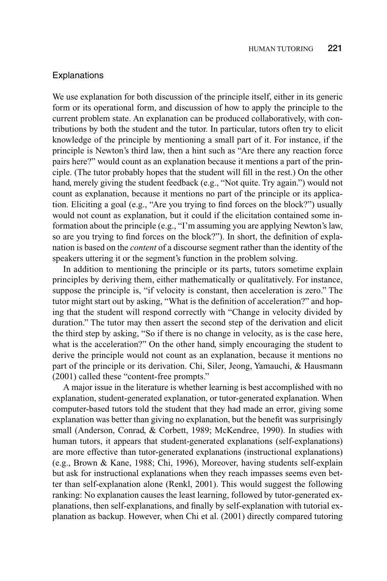#### Explanations

We use explanation for both discussion of the principle itself, either in its generic form or its operational form, and discussion of how to apply the principle to the current problem state. An explanation can be produced collaboratively, with contributions by both the student and the tutor. In particular, tutors often try to elicit knowledge of the principle by mentioning a small part of it. For instance, if the principle is Newton's third law, then a hint such as "Are there any reaction force pairs here?" would count as an explanation because it mentions a part of the principle. (The tutor probably hopes that the student will fill in the rest.) On the other hand, merely giving the student feedback (e.g., "Not quite. Try again.") would not count as explanation, because it mentions no part of the principle or its application. Eliciting a goal (e.g., "Are you trying to find forces on the block?") usually would not count as explanation, but it could if the elicitation contained some information about the principle (e.g., "I'm assuming you are applying Newton's law, so are you trying to find forces on the block?"). In short, the definition of explanation is based on the *content* of a discourse segment rather than the identity of the speakers uttering it or the segment's function in the problem solving.

In addition to mentioning the principle or its parts, tutors sometime explain principles by deriving them, either mathematically or qualitatively. For instance, suppose the principle is, "if velocity is constant, then acceleration is zero." The tutor might start out by asking, "What is the definition of acceleration?" and hoping that the student will respond correctly with "Change in velocity divided by duration." The tutor may then assert the second step of the derivation and elicit the third step by asking, "So if there is no change in velocity, as is the case here, what is the acceleration?" On the other hand, simply encouraging the student to derive the principle would not count as an explanation, because it mentions no part of the principle or its derivation. Chi, Siler, Jeong, Yamauchi, & Hausmann (2001) called these "content-free prompts."

A major issue in the literature is whether learning is best accomplished with no explanation, student-generated explanation, or tutor-generated explanation. When computer-based tutors told the student that they had made an error, giving some explanation was better than giving no explanation, but the benefit was surprisingly small (Anderson, Conrad, & Corbett, 1989; McKendree, 1990). In studies with human tutors, it appears that student-generated explanations (self-explanations) are more effective than tutor-generated explanations (instructional explanations) (e.g., Brown & Kane, 1988; Chi, 1996), Moreover, having students self-explain but ask for instructional explanations when they reach impasses seems even better than self-explanation alone (Renkl, 2001). This would suggest the following ranking: No explanation causes the least learning, followed by tutor-generated explanations, then self-explanations, and finally by self-explanation with tutorial explanation as backup. However, when Chi et al. (2001) directly compared tutoring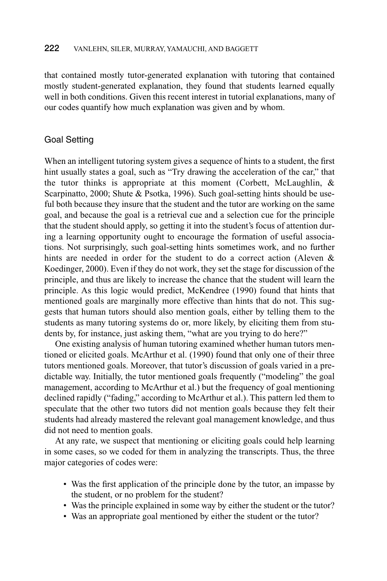#### **222** VANLEHN, SILER, MURRAY, YAMAUCHI, AND BAGGETT

that contained mostly tutor-generated explanation with tutoring that contained mostly student-generated explanation, they found that students learned equally well in both conditions. Given this recent interest in tutorial explanations, many of our codes quantify how much explanation was given and by whom.

#### Goal Setting

When an intelligent tutoring system gives a sequence of hints to a student, the first hint usually states a goal, such as "Try drawing the acceleration of the car," that the tutor thinks is appropriate at this moment (Corbett, McLaughlin, & Scarpinatto, 2000; Shute & Psotka, 1996). Such goal-setting hints should be useful both because they insure that the student and the tutor are working on the same goal, and because the goal is a retrieval cue and a selection cue for the principle that the student should apply, so getting it into the student's focus of attention during a learning opportunity ought to encourage the formation of useful associations. Not surprisingly, such goal-setting hints sometimes work, and no further hints are needed in order for the student to do a correct action (Aleven & Koedinger, 2000). Even if they do not work, they set the stage for discussion of the principle, and thus are likely to increase the chance that the student will learn the principle. As this logic would predict, McKendree (1990) found that hints that mentioned goals are marginally more effective than hints that do not. This suggests that human tutors should also mention goals, either by telling them to the students as many tutoring systems do or, more likely, by eliciting them from students by, for instance, just asking them, "what are you trying to do here?"

One existing analysis of human tutoring examined whether human tutors mentioned or elicited goals. McArthur et al. (1990) found that only one of their three tutors mentioned goals. Moreover, that tutor's discussion of goals varied in a predictable way. Initially, the tutor mentioned goals frequently ("modeling" the goal management, according to McArthur et al.) but the frequency of goal mentioning declined rapidly ("fading," according to McArthur et al.). This pattern led them to speculate that the other two tutors did not mention goals because they felt their students had already mastered the relevant goal management knowledge, and thus did not need to mention goals.

At any rate, we suspect that mentioning or eliciting goals could help learning in some cases, so we coded for them in analyzing the transcripts. Thus, the three major categories of codes were:

- Was the first application of the principle done by the tutor, an impasse by the student, or no problem for the student?
- Was the principle explained in some way by either the student or the tutor?
- Was an appropriate goal mentioned by either the student or the tutor?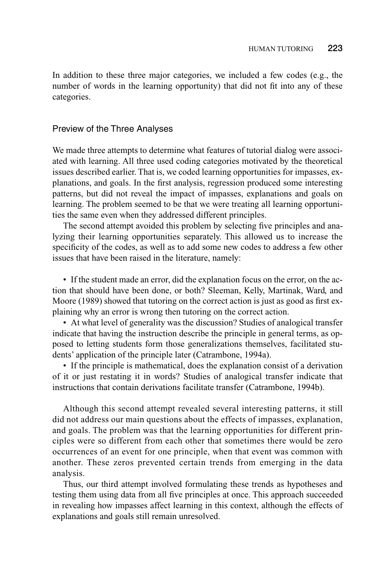In addition to these three major categories, we included a few codes (e.g., the number of words in the learning opportunity) that did not fit into any of these categories.

## Preview of the Three Analyses

We made three attempts to determine what features of tutorial dialog were associated with learning. All three used coding categories motivated by the theoretical issues described earlier. That is, we coded learning opportunities for impasses, explanations, and goals. In the first analysis, regression produced some interesting patterns, but did not reveal the impact of impasses, explanations and goals on learning. The problem seemed to be that we were treating all learning opportunities the same even when they addressed different principles.

The second attempt avoided this problem by selecting five principles and analyzing their learning opportunities separately. This allowed us to increase the specificity of the codes, as well as to add some new codes to address a few other issues that have been raised in the literature, namely:

• If the student made an error, did the explanation focus on the error, on the action that should have been done, or both? Sleeman, Kelly, Martinak, Ward, and Moore (1989) showed that tutoring on the correct action is just as good as first explaining why an error is wrong then tutoring on the correct action.

• At what level of generality was the discussion? Studies of analogical transfer indicate that having the instruction describe the principle in general terms, as opposed to letting students form those generalizations themselves, facilitated students' application of the principle later (Catrambone, 1994a).

• If the principle is mathematical, does the explanation consist of a derivation of it or just restating it in words? Studies of analogical transfer indicate that instructions that contain derivations facilitate transfer (Catrambone, 1994b).

Although this second attempt revealed several interesting patterns, it still did not address our main questions about the effects of impasses, explanation, and goals. The problem was that the learning opportunities for different principles were so different from each other that sometimes there would be zero occurrences of an event for one principle, when that event was common with another. These zeros prevented certain trends from emerging in the data analysis.

Thus, our third attempt involved formulating these trends as hypotheses and testing them using data from all five principles at once. This approach succeeded in revealing how impasses affect learning in this context, although the effects of explanations and goals still remain unresolved.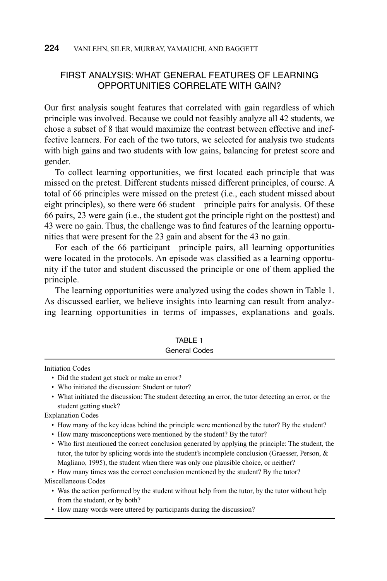## FIRST ANALYSIS: WHAT GENERAL FEATURES OF LEARNING OPPORTUNITIES CORRELATE WITH GAIN?

Our first analysis sought features that correlated with gain regardless of which principle was involved. Because we could not feasibly analyze all 42 students, we chose a subset of 8 that would maximize the contrast between effective and ineffective learners. For each of the two tutors, we selected for analysis two students with high gains and two students with low gains, balancing for pretest score and gender.

To collect learning opportunities, we first located each principle that was missed on the pretest. Different students missed different principles, of course. A total of 66 principles were missed on the pretest (i.e., each student missed about eight principles), so there were 66 student—principle pairs for analysis. Of these 66 pairs, 23 were gain (i.e., the student got the principle right on the posttest) and 43 were no gain. Thus, the challenge was to find features of the learning opportunities that were present for the 23 gain and absent for the 43 no gain.

For each of the 66 participant—principle pairs, all learning opportunities were located in the protocols. An episode was classified as a learning opportunity if the tutor and student discussed the principle or one of them applied the principle.

The learning opportunities were analyzed using the codes shown in Table 1. As discussed earlier, we believe insights into learning can result from analyzing learning opportunities in terms of impasses, explanations and goals.

| TABLE 1       |
|---------------|
| General Codes |

Initiation Codes

- Did the student get stuck or make an error?
- Who initiated the discussion: Student or tutor?
- What initiated the discussion: The student detecting an error, the tutor detecting an error, or the student getting stuck?

Explanation Codes

- How many of the key ideas behind the principle were mentioned by the tutor? By the student?
- How many misconceptions were mentioned by the student? By the tutor?
- Who first mentioned the correct conclusion generated by applying the principle: The student, the tutor, the tutor by splicing words into the student's incomplete conclusion (Graesser, Person, & Magliano, 1995), the student when there was only one plausible choice, or neither?
- How many times was the correct conclusion mentioned by the student? By the tutor?

Miscellaneous Codes

• Was the action performed by the student without help from the tutor, by the tutor without help from the student, or by both?

• How many words were uttered by participants during the discussion?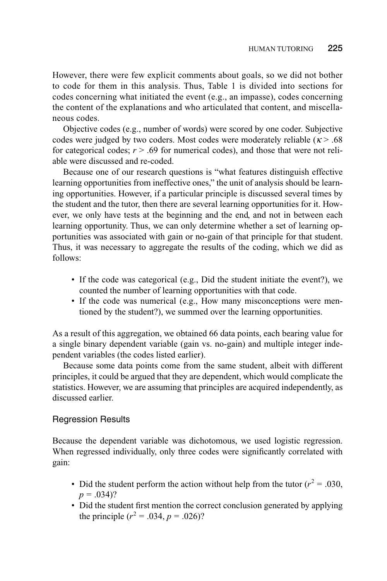However, there were few explicit comments about goals, so we did not bother to code for them in this analysis. Thus, Table 1 is divided into sections for codes concerning what initiated the event (e.g., an impasse), codes concerning the content of the explanations and who articulated that content, and miscellaneous codes.

Objective codes (e.g., number of words) were scored by one coder. Subjective codes were judged by two coders. Most codes were moderately reliable ( $\kappa$  > .68 for categorical codes;  $r > .69$  for numerical codes), and those that were not reliable were discussed and re-coded.

Because one of our research questions is "what features distinguish effective learning opportunities from ineffective ones," the unit of analysis should be learning opportunities. However, if a particular principle is discussed several times by the student and the tutor, then there are several learning opportunities for it. However, we only have tests at the beginning and the end, and not in between each learning opportunity. Thus, we can only determine whether a set of learning opportunities was associated with gain or no-gain of that principle for that student. Thus, it was necessary to aggregate the results of the coding, which we did as follows:

- If the code was categorical (e.g., Did the student initiate the event?), we counted the number of learning opportunities with that code.
- If the code was numerical (e.g., How many misconceptions were mentioned by the student?), we summed over the learning opportunities.

As a result of this aggregation, we obtained 66 data points, each bearing value for a single binary dependent variable (gain vs. no-gain) and multiple integer independent variables (the codes listed earlier).

Because some data points come from the same student, albeit with different principles, it could be argued that they are dependent, which would complicate the statistics. However, we are assuming that principles are acquired independently, as discussed earlier.

## Regression Results

Because the dependent variable was dichotomous, we used logistic regression. When regressed individually, only three codes were significantly correlated with gain:

- Did the student perform the action without help from the tutor  $(r^2 = .030, ...)$  $p = .034$ ?
- Did the student first mention the correct conclusion generated by applying the principle ( $r^2 = .034$ ,  $p = .026$ )?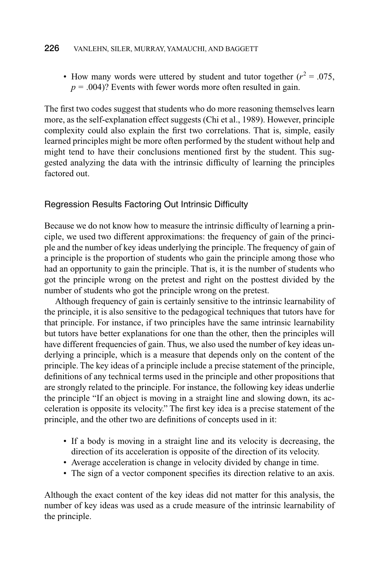#### **226** VANLEHN, SILER, MURRAY, YAMAUCHI, AND BAGGETT

• How many words were uttered by student and tutor together  $(r^2 = .075,$  $p = .004$ ? Events with fewer words more often resulted in gain.

The first two codes suggest that students who do more reasoning themselves learn more, as the self-explanation effect suggests (Chi et al., 1989). However, principle complexity could also explain the first two correlations. That is, simple, easily learned principles might be more often performed by the student without help and might tend to have their conclusions mentioned first by the student. This suggested analyzing the data with the intrinsic difficulty of learning the principles factored out.

## Regression Results Factoring Out Intrinsic Difficulty

Because we do not know how to measure the intrinsic difficulty of learning a principle, we used two different approximations: the frequency of gain of the principle and the number of key ideas underlying the principle. The frequency of gain of a principle is the proportion of students who gain the principle among those who had an opportunity to gain the principle. That is, it is the number of students who got the principle wrong on the pretest and right on the posttest divided by the number of students who got the principle wrong on the pretest.

Although frequency of gain is certainly sensitive to the intrinsic learnability of the principle, it is also sensitive to the pedagogical techniques that tutors have for that principle. For instance, if two principles have the same intrinsic learnability but tutors have better explanations for one than the other, then the principles will have different frequencies of gain. Thus, we also used the number of key ideas underlying a principle, which is a measure that depends only on the content of the principle. The key ideas of a principle include a precise statement of the principle, definitions of any technical terms used in the principle and other propositions that are strongly related to the principle. For instance, the following key ideas underlie the principle "If an object is moving in a straight line and slowing down, its acceleration is opposite its velocity." The first key idea is a precise statement of the principle, and the other two are definitions of concepts used in it:

- If a body is moving in a straight line and its velocity is decreasing, the direction of its acceleration is opposite of the direction of its velocity.
- Average acceleration is change in velocity divided by change in time.
- The sign of a vector component specifies its direction relative to an axis.

Although the exact content of the key ideas did not matter for this analysis, the number of key ideas was used as a crude measure of the intrinsic learnability of the principle.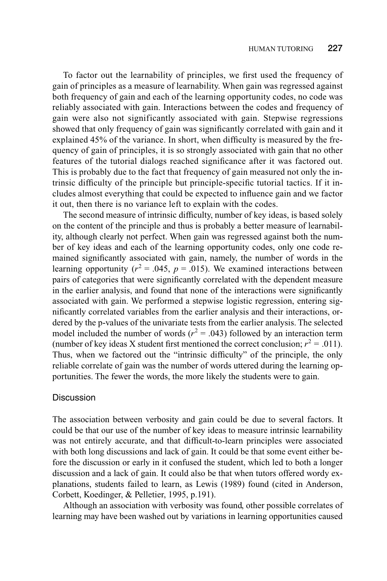To factor out the learnability of principles, we first used the frequency of gain of principles as a measure of learnability. When gain was regressed against both frequency of gain and each of the learning opportunity codes, no code was reliably associated with gain. Interactions between the codes and frequency of gain were also not significantly associated with gain. Stepwise regressions showed that only frequency of gain was significantly correlated with gain and it explained 45% of the variance. In short, when difficulty is measured by the frequency of gain of principles, it is so strongly associated with gain that no other features of the tutorial dialogs reached significance after it was factored out. This is probably due to the fact that frequency of gain measured not only the intrinsic difficulty of the principle but principle-specific tutorial tactics. If it includes almost everything that could be expected to influence gain and we factor it out, then there is no variance left to explain with the codes.

The second measure of intrinsic difficulty, number of key ideas, is based solely on the content of the principle and thus is probably a better measure of learnability, although clearly not perfect. When gain was regressed against both the number of key ideas and each of the learning opportunity codes, only one code remained significantly associated with gain, namely, the number of words in the learning opportunity ( $r^2 = .045$ ,  $p = .015$ ). We examined interactions between pairs of categories that were significantly correlated with the dependent measure in the earlier analysis, and found that none of the interactions were significantly associated with gain. We performed a stepwise logistic regression, entering significantly correlated variables from the earlier analysis and their interactions, ordered by the p-values of the univariate tests from the earlier analysis. The selected model included the number of words  $(r^2 = .043)$  followed by an interaction term (number of key ideas X student first mentioned the correct conclusion;  $r^2 = .011$ ). Thus, when we factored out the "intrinsic difficulty" of the principle, the only reliable correlate of gain was the number of words uttered during the learning opportunities. The fewer the words, the more likely the students were to gain.

#### **Discussion**

The association between verbosity and gain could be due to several factors. It could be that our use of the number of key ideas to measure intrinsic learnability was not entirely accurate, and that difficult-to-learn principles were associated with both long discussions and lack of gain. It could be that some event either before the discussion or early in it confused the student, which led to both a longer discussion and a lack of gain. It could also be that when tutors offered wordy explanations, students failed to learn, as Lewis (1989) found (cited in Anderson, Corbett, Koedinger, & Pelletier, 1995, p.191).

Although an association with verbosity was found, other possible correlates of learning may have been washed out by variations in learning opportunities caused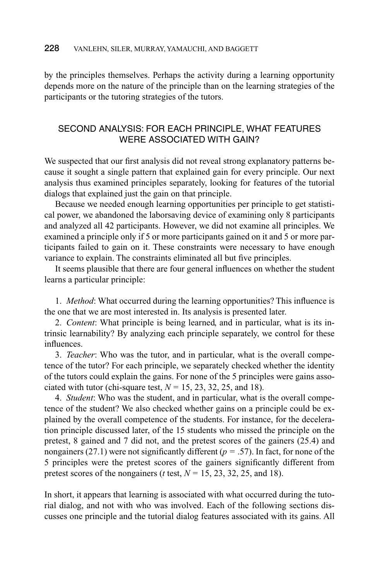by the principles themselves. Perhaps the activity during a learning opportunity depends more on the nature of the principle than on the learning strategies of the participants or the tutoring strategies of the tutors.

# SECOND ANALYSIS: FOR EACH PRINCIPLE, WHAT FEATURES WERE ASSOCIATED WITH GAIN?

We suspected that our first analysis did not reveal strong explanatory patterns because it sought a single pattern that explained gain for every principle. Our next analysis thus examined principles separately, looking for features of the tutorial dialogs that explained just the gain on that principle.

Because we needed enough learning opportunities per principle to get statistical power, we abandoned the laborsaving device of examining only 8 participants and analyzed all 42 participants. However, we did not examine all principles. We examined a principle only if 5 or more participants gained on it and 5 or more participants failed to gain on it. These constraints were necessary to have enough variance to explain. The constraints eliminated all but five principles.

It seems plausible that there are four general influences on whether the student learns a particular principle:

1. *Method*: What occurred during the learning opportunities? This influence is the one that we are most interested in. Its analysis is presented later.

2. *Content*: What principle is being learned, and in particular, what is its intrinsic learnability? By analyzing each principle separately, we control for these influences.

3. *Teacher*: Who was the tutor, and in particular, what is the overall competence of the tutor? For each principle, we separately checked whether the identity of the tutors could explain the gains. For none of the 5 principles were gains associated with tutor (chi-square test,  $N = 15, 23, 32, 25,$  and 18).

4. *Student*: Who was the student, and in particular, what is the overall competence of the student? We also checked whether gains on a principle could be explained by the overall competence of the students. For instance, for the deceleration principle discussed later, of the 15 students who missed the principle on the pretest, 8 gained and 7 did not, and the pretest scores of the gainers (25.4) and nongainers (27.1) were not significantly different ( $p = .57$ ). In fact, for none of the 5 principles were the pretest scores of the gainers significantly different from pretest scores of the nongainers ( $t$  test,  $N = 15, 23, 32, 25,$  and 18).

In short, it appears that learning is associated with what occurred during the tutorial dialog, and not with who was involved. Each of the following sections discusses one principle and the tutorial dialog features associated with its gains. All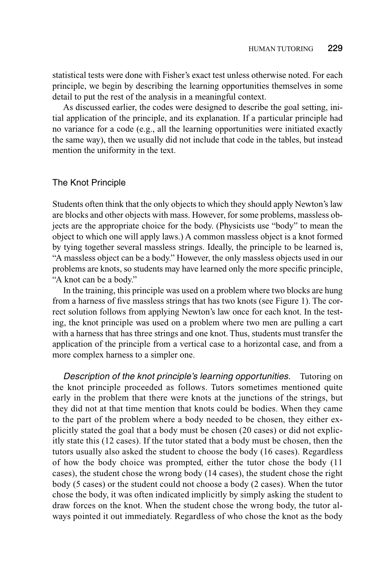statistical tests were done with Fisher's exact test unless otherwise noted. For each principle, we begin by describing the learning opportunities themselves in some detail to put the rest of the analysis in a meaningful context.

As discussed earlier, the codes were designed to describe the goal setting, initial application of the principle, and its explanation. If a particular principle had no variance for a code (e.g., all the learning opportunities were initiated exactly the same way), then we usually did not include that code in the tables, but instead mention the uniformity in the text.

## The Knot Principle

Students often think that the only objects to which they should apply Newton's law are blocks and other objects with mass. However, for some problems, massless objects are the appropriate choice for the body. (Physicists use "body" to mean the object to which one will apply laws.) A common massless object is a knot formed by tying together several massless strings. Ideally, the principle to be learned is, "A massless object can be a body." However, the only massless objects used in our problems are knots, so students may have learned only the more specific principle, "A knot can be a body."

In the training, this principle was used on a problem where two blocks are hung from a harness of five massless strings that has two knots (see Figure 1). The correct solution follows from applying Newton's law once for each knot. In the testing, the knot principle was used on a problem where two men are pulling a cart with a harness that has three strings and one knot. Thus, students must transfer the application of the principle from a vertical case to a horizontal case, and from a more complex harness to a simpler one.

Description of the knot principle's learning opportunities. Tutoring on the knot principle proceeded as follows. Tutors sometimes mentioned quite early in the problem that there were knots at the junctions of the strings, but they did not at that time mention that knots could be bodies. When they came to the part of the problem where a body needed to be chosen, they either explicitly stated the goal that a body must be chosen (20 cases) or did not explicitly state this (12 cases). If the tutor stated that a body must be chosen, then the tutors usually also asked the student to choose the body (16 cases). Regardless of how the body choice was prompted, either the tutor chose the body (11 cases), the student chose the wrong body (14 cases), the student chose the right body (5 cases) or the student could not choose a body (2 cases). When the tutor chose the body, it was often indicated implicitly by simply asking the student to draw forces on the knot. When the student chose the wrong body, the tutor always pointed it out immediately. Regardless of who chose the knot as the body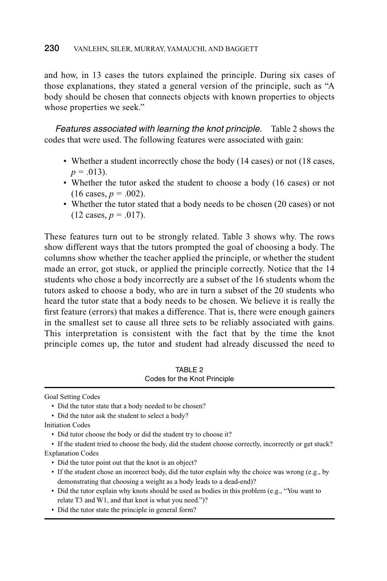and how, in 13 cases the tutors explained the principle. During six cases of those explanations, they stated a general version of the principle, such as "A body should be chosen that connects objects with known properties to objects whose properties we seek."

Features associated with learning the knot principle. Table 2 shows the codes that were used. The following features were associated with gain:

- Whether a student incorrectly chose the body (14 cases) or not (18 cases,  $p = .013$ ).
- Whether the tutor asked the student to choose a body (16 cases) or not  $(16 \text{ cases}, p = .002)$ .
- Whether the tutor stated that a body needs to be chosen (20 cases) or not  $(12 \text{ cases}, p = .017).$

These features turn out to be strongly related. Table 3 shows why. The rows show different ways that the tutors prompted the goal of choosing a body. The columns show whether the teacher applied the principle, or whether the student made an error, got stuck, or applied the principle correctly. Notice that the 14 students who chose a body incorrectly are a subset of the 16 students whom the tutors asked to choose a body, who are in turn a subset of the 20 students who heard the tutor state that a body needs to be chosen. We believe it is really the first feature (errors) that makes a difference. That is, there were enough gainers in the smallest set to cause all three sets to be reliably associated with gains. This interpretation is consistent with the fact that by the time the knot principle comes up, the tutor and student had already discussed the need to

TABLE 2 Codes for the Knot Principle

Goal Setting Codes

• Did the tutor ask the student to select a body?

Initiation Codes

• Did tutor choose the body or did the student try to choose it?

• If the student tried to choose the body, did the student choose correctly, incorrectly or get stuck? Explanation Codes

- Did the tutor point out that the knot is an object?
- If the student chose an incorrect body, did the tutor explain why the choice was wrong (e.g., by demonstrating that choosing a weight as a body leads to a dead-end)?
- Did the tutor explain why knots should be used as bodies in this problem (e.g., "You want to relate T3 and W1, and that knot is what you need.")?
- Did the tutor state the principle in general form?

<sup>•</sup> Did the tutor state that a body needed to be chosen?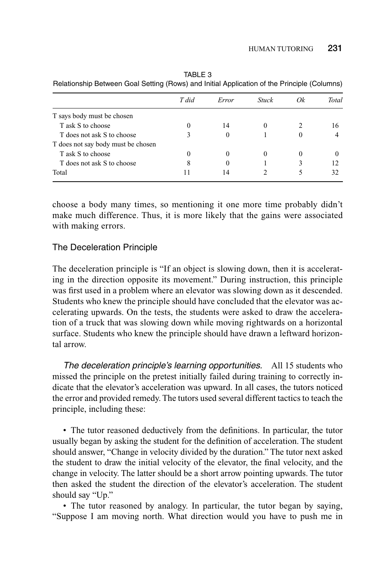|                                    | T did | Error    | <b>Stuck</b> | $Q_k$  | Total    |
|------------------------------------|-------|----------|--------------|--------|----------|
| T says body must be chosen         |       |          |              |        |          |
| T ask S to choose                  | 0     | 14       | $_{0}$       |        | 16       |
| T does not ask S to choose         |       | $_{0}$   |              | $_{0}$ |          |
| T does not say body must be chosen |       |          |              |        |          |
| T ask S to choose                  | 0     | $\theta$ | $_{0}$       | $_{0}$ | $\theta$ |
| T does not ask S to choose         | 8     | $_{0}$   |              |        | 12       |
| Total                              | 11    | 14       |              |        | 32       |

TABLE 3 Relationship Between Goal Setting (Rows) and Initial Application of the Principle (Columns)

choose a body many times, so mentioning it one more time probably didn't make much difference. Thus, it is more likely that the gains were associated with making errors.

## The Deceleration Principle

The deceleration principle is "If an object is slowing down, then it is accelerating in the direction opposite its movement." During instruction, this principle was first used in a problem where an elevator was slowing down as it descended. Students who knew the principle should have concluded that the elevator was accelerating upwards. On the tests, the students were asked to draw the acceleration of a truck that was slowing down while moving rightwards on a horizontal surface. Students who knew the principle should have drawn a leftward horizontal arrow.

The deceleration principle's learning opportunities. All 15 students who missed the principle on the pretest initially failed during training to correctly indicate that the elevator's acceleration was upward. In all cases, the tutors noticed the error and provided remedy. The tutors used several different tactics to teach the principle, including these:

• The tutor reasoned deductively from the definitions. In particular, the tutor usually began by asking the student for the definition of acceleration. The student should answer, "Change in velocity divided by the duration." The tutor next asked the student to draw the initial velocity of the elevator, the final velocity, and the change in velocity. The latter should be a short arrow pointing upwards. The tutor then asked the student the direction of the elevator's acceleration. The student should say "Up."

• The tutor reasoned by analogy. In particular, the tutor began by saying, "Suppose I am moving north. What direction would you have to push me in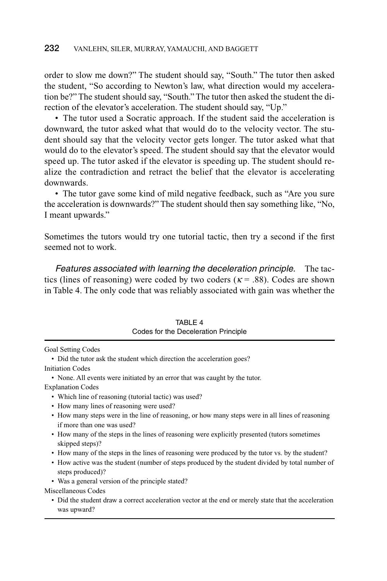order to slow me down?" The student should say, "South." The tutor then asked the student, "So according to Newton's law, what direction would my acceleration be?" The student should say, "South." The tutor then asked the student the direction of the elevator's acceleration. The student should say, "Up."

• The tutor used a Socratic approach. If the student said the acceleration is downward, the tutor asked what that would do to the velocity vector. The student should say that the velocity vector gets longer. The tutor asked what that would do to the elevator's speed. The student should say that the elevator would speed up. The tutor asked if the elevator is speeding up. The student should realize the contradiction and retract the belief that the elevator is accelerating downwards.

• The tutor gave some kind of mild negative feedback, such as "Are you sure the acceleration is downwards?" The student should then say something like, "No, I meant upwards."

Sometimes the tutors would try one tutorial tactic, then try a second if the first seemed not to work.

Features associated with learning the deceleration principle. The tactics (lines of reasoning) were coded by two coders ( $\kappa$  = .88). Codes are shown in Table 4. The only code that was reliably associated with gain was whether the

TABLE 4

| Codes for the Deceleration Principle |
|--------------------------------------|
|                                      |

Goal Setting Codes

• Did the tutor ask the student which direction the acceleration goes? Initiation Codes

• None. All events were initiated by an error that was caught by the tutor.

Explanation Codes

- Which line of reasoning (tutorial tactic) was used?
- How many lines of reasoning were used?
- How many steps were in the line of reasoning, or how many steps were in all lines of reasoning if more than one was used?
- How many of the steps in the lines of reasoning were explicitly presented (tutors sometimes skinned steps)?
- How many of the steps in the lines of reasoning were produced by the tutor vs. by the student?
- How active was the student (number of steps produced by the student divided by total number of steps produced)?
- Was a general version of the principle stated?

Miscellaneous Codes

• Did the student draw a correct acceleration vector at the end or merely state that the acceleration was upward?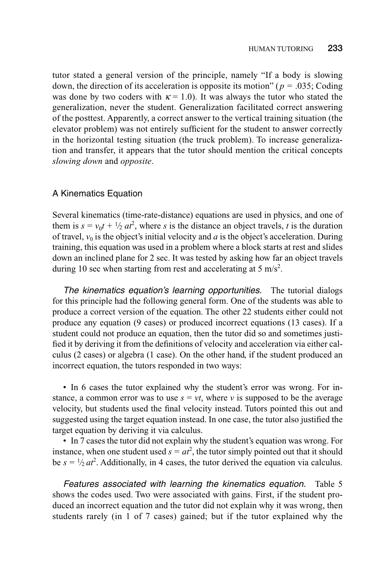tutor stated a general version of the principle, namely "If a body is slowing down, the direction of its acceleration is opposite its motion" ( $p = .035$ ; Coding was done by two coders with  $\kappa = 1.0$ ). It was always the tutor who stated the generalization, never the student. Generalization facilitated correct answering of the posttest. Apparently, a correct answer to the vertical training situation (the elevator problem) was not entirely sufficient for the student to answer correctly in the horizontal testing situation (the truck problem). To increase generalization and transfer, it appears that the tutor should mention the critical concepts *slowing down* and *opposite*.

## A Kinematics Equation

Several kinematics (time-rate-distance) equations are used in physics, and one of them is  $s = v_0 t + \frac{1}{2} a t^2$ , where *s* is the distance an object travels, *t* is the duration of travel,  $v_0$  is the object's initial velocity and *a* is the object's acceleration. During training, this equation was used in a problem where a block starts at rest and slides down an inclined plane for 2 sec. It was tested by asking how far an object travels during 10 sec when starting from rest and accelerating at 5 m/s<sup>2</sup>.

The kinematics equation's learning opportunities. The tutorial dialogs for this principle had the following general form. One of the students was able to produce a correct version of the equation. The other 22 students either could not produce any equation (9 cases) or produced incorrect equations (13 cases). If a student could not produce an equation, then the tutor did so and sometimes justified it by deriving it from the definitions of velocity and acceleration via either calculus (2 cases) or algebra (1 case). On the other hand, if the student produced an incorrect equation, the tutors responded in two ways:

• In 6 cases the tutor explained why the student's error was wrong. For instance, a common error was to use  $s = vt$ , where v is supposed to be the average velocity, but students used the final velocity instead. Tutors pointed this out and suggested using the target equation instead. In one case, the tutor also justified the target equation by deriving it via calculus.

• In 7 cases the tutor did not explain why the student's equation was wrong. For instance, when one student used  $s = at^2$ , the tutor simply pointed out that it should be  $s = \frac{1}{2}at^2$ . Additionally, in 4 cases, the tutor derived the equation via calculus.

Features associated with learning the kinematics equation. Table 5 shows the codes used. Two were associated with gains. First, if the student produced an incorrect equation and the tutor did not explain why it was wrong, then students rarely (in 1 of 7 cases) gained; but if the tutor explained why the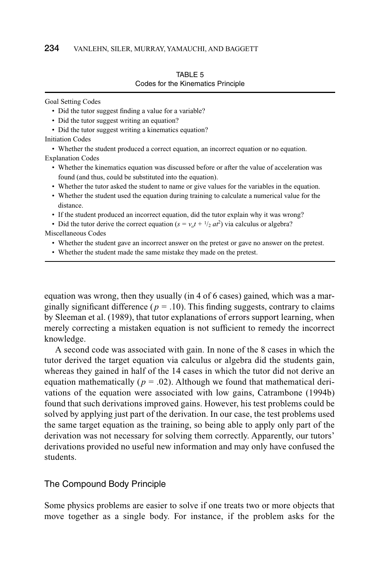#### TABLE 5 Codes for the Kinematics Principle

Goal Setting Codes

- Did the tutor suggest finding a value for a variable?
- Did the tutor suggest writing an equation?
- Did the tutor suggest writing a kinematics equation?
- Initiation Codes

• Whether the student produced a correct equation, an incorrect equation or no equation. Explanation Codes

- Whether the kinematics equation was discussed before or after the value of acceleration was found (and thus, could be substituted into the equation).
- Whether the tutor asked the student to name or give values for the variables in the equation.
- Whether the student used the equation during training to calculate a numerical value for the distance.
- If the student produced an incorrect equation, did the tutor explain why it was wrong?
- Did the tutor derive the correct equation  $(s = v_0 t + 1/z \, dt^2)$  via calculus or algebra?

Miscellaneous Codes

- Whether the student gave an incorrect answer on the pretest or gave no answer on the pretest.
- Whether the student made the same mistake they made on the pretest.

equation was wrong, then they usually (in 4 of 6 cases) gained, which was a marginally significant difference ( $p = .10$ ). This finding suggests, contrary to claims by Sleeman et al. (1989), that tutor explanations of errors support learning, when merely correcting a mistaken equation is not sufficient to remedy the incorrect knowledge.

A second code was associated with gain. In none of the 8 cases in which the tutor derived the target equation via calculus or algebra did the students gain, whereas they gained in half of the 14 cases in which the tutor did not derive an equation mathematically ( $p = .02$ ). Although we found that mathematical derivations of the equation were associated with low gains, Catrambone (1994b) found that such derivations improved gains. However, his test problems could be solved by applying just part of the derivation. In our case, the test problems used the same target equation as the training, so being able to apply only part of the derivation was not necessary for solving them correctly. Apparently, our tutors' derivations provided no useful new information and may only have confused the students.

#### The Compound Body Principle

Some physics problems are easier to solve if one treats two or more objects that move together as a single body. For instance, if the problem asks for the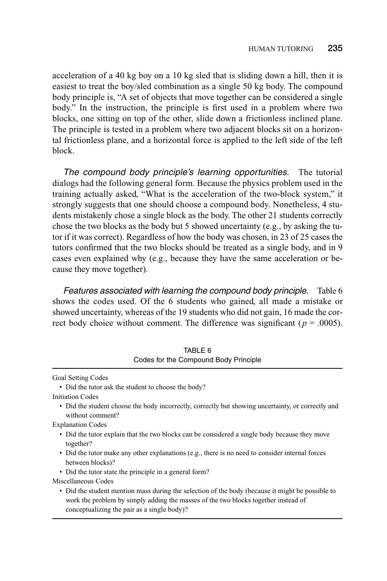acceleration of a 40 kg boy on a 10 kg sled that is sliding down a hill, then it is easiest to treat the boy/sled combination as a single 50 kg body. The compound body principle is, "A set of objects that move together can be considered a single body." In the instruction, the principle is first used in a problem where two blocks, one sitting on top of the other, slide down a frictionless inclined plane. The principle is tested in a problem where two adjacent blocks sit on a horizontal frictionless plane, and a horizontal force is applied to the left side of the left block.

The compound body principle's learning opportunities. The tutorial dialogs had the following general form. Because the physics problem used in the training actually asked, "What is the acceleration of the two-block system," it strongly suggests that one should choose a compound body. Nonetheless, 4 students mistakenly chose a single block as the body. The other 21 students correctly chose the two blocks as the body but 5 showed uncertainty (e.g., by asking the tutor if it was correct). Regardless of how the body was chosen, in 23 of 25 cases the tutors confirmed that the two blocks should be treated as a single body, and in 9 cases even explained why (e.g., because they have the same acceleration or because they move together).

Features associated with learning the compound body principle. Table 6 shows the codes used. Of the 6 students who gained, all made a mistake or showed uncertainty, whereas of the 19 students who did not gain, 16 made the correct body choice without comment. The difference was significant ( $p = .0005$ ).

| Codes for the Compound Body Principle                                                                                                                                                                                                 |  |  |
|---------------------------------------------------------------------------------------------------------------------------------------------------------------------------------------------------------------------------------------|--|--|
| <b>Goal Setting Codes</b>                                                                                                                                                                                                             |  |  |
| • Did the tutor ask the student to choose the body?                                                                                                                                                                                   |  |  |
| Initiation Codes                                                                                                                                                                                                                      |  |  |
| • Did the student choose the body incorrectly, correctly but showing uncertainty, or correctly and<br>without comment?                                                                                                                |  |  |
| <b>Explanation Codes</b>                                                                                                                                                                                                              |  |  |
| • Did the tutor explain that the two blocks can be considered a single body because they move<br>together?                                                                                                                            |  |  |
| • Did the tutor make any other explanations (e.g., there is no need to consider internal forces<br>between blocks)?                                                                                                                   |  |  |
| • Did the tutor state the principle in a general form?                                                                                                                                                                                |  |  |
| Miscellaneous Codes                                                                                                                                                                                                                   |  |  |
| • Did the student mention mass during the selection of the body (because it might be possible to<br>work the problem by simply adding the masses of the two blocks together instead of<br>conceptualizing the pair as a single body)? |  |  |
|                                                                                                                                                                                                                                       |  |  |

TABLE 6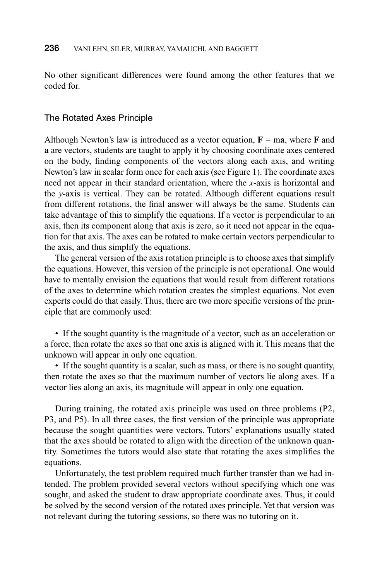No other significant differences were found among the other features that we coded for.

#### The Rotated Axes Principle

Although Newton's law is introduced as a vector equation,  $\mathbf{F} = \mathbf{m}\mathbf{a}$ , where **F** and **a** are vectors, students are taught to apply it by choosing coordinate axes centered on the body, finding components of the vectors along each axis, and writing Newton's law in scalar form once for each axis (see Figure 1). The coordinate axes need not appear in their standard orientation, where the *x*-axis is horizontal and the *y*-axis is vertical. They can be rotated. Although different equations result from different rotations, the final answer will always be the same. Students can take advantage of this to simplify the equations. If a vector is perpendicular to an axis, then its component along that axis is zero, so it need not appear in the equation for that axis. The axes can be rotated to make certain vectors perpendicular to the axis, and thus simplify the equations.

The general version of the axis rotation principle is to choose axes that simplify the equations. However, this version of the principle is not operational. One would have to mentally envision the equations that would result from different rotations of the axes to determine which rotation creates the simplest equations. Not even experts could do that easily. Thus, there are two more specific versions of the principle that are commonly used:

• If the sought quantity is the magnitude of a vector, such as an acceleration or a force, then rotate the axes so that one axis is aligned with it. This means that the unknown will appear in only one equation.

• If the sought quantity is a scalar, such as mass, or there is no sought quantity, then rotate the axes so that the maximum number of vectors lie along axes. If a vector lies along an axis, its magnitude will appear in only one equation.

During training, the rotated axis principle was used on three problems (P2, P3, and P5). In all three cases, the first version of the principle was appropriate because the sought quantities were vectors. Tutors' explanations usually stated that the axes should be rotated to align with the direction of the unknown quantity. Sometimes the tutors would also state that rotating the axes simplifies the equations.

Unfortunately, the test problem required much further transfer than we had intended. The problem provided several vectors without specifying which one was sought, and asked the student to draw appropriate coordinate axes. Thus, it could be solved by the second version of the rotated axes principle. Yet that version was not relevant during the tutoring sessions, so there was no tutoring on it.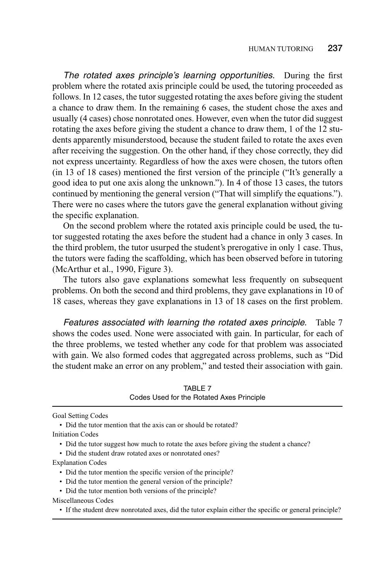The rotated axes principle's learning opportunities. During the first problem where the rotated axis principle could be used, the tutoring proceeded as follows. In 12 cases, the tutor suggested rotating the axes before giving the student a chance to draw them. In the remaining 6 cases, the student chose the axes and usually (4 cases) chose nonrotated ones. However, even when the tutor did suggest rotating the axes before giving the student a chance to draw them, 1 of the 12 students apparently misunderstood, because the student failed to rotate the axes even after receiving the suggestion. On the other hand, if they chose correctly, they did not express uncertainty. Regardless of how the axes were chosen, the tutors often (in 13 of 18 cases) mentioned the first version of the principle ("It's generally a good idea to put one axis along the unknown."). In 4 of those 13 cases, the tutors continued by mentioning the general version ("That will simplify the equations."). There were no cases where the tutors gave the general explanation without giving the specific explanation.

On the second problem where the rotated axis principle could be used, the tutor suggested rotating the axes before the student had a chance in only 3 cases. In the third problem, the tutor usurped the student's prerogative in only 1 case. Thus, the tutors were fading the scaffolding, which has been observed before in tutoring (McArthur et al., 1990, Figure 3).

The tutors also gave explanations somewhat less frequently on subsequent problems. On both the second and third problems, they gave explanations in 10 of 18 cases, whereas they gave explanations in 13 of 18 cases on the first problem.

Features associated with learning the rotated axes principle. Table 7 shows the codes used. None were associated with gain. In particular, for each of the three problems, we tested whether any code for that problem was associated with gain. We also formed codes that aggregated across problems, such as "Did the student make an error on any problem," and tested their association with gain.

TABLE 7 Codes Used for the Rotated Axes Principle

Goal Setting Codes

• Did the tutor mention that the axis can or should be rotated?

Initiation Codes

- Did the tutor suggest how much to rotate the axes before giving the student a chance?
- Did the student draw rotated axes or nonrotated ones?

Explanation Codes

• Did the tutor mention the specific version of the principle?

• Did the tutor mention the general version of the principle?

• Did the tutor mention both versions of the principle?

Miscellaneous Codes

• If the student drew nonrotated axes, did the tutor explain either the specific or general principle?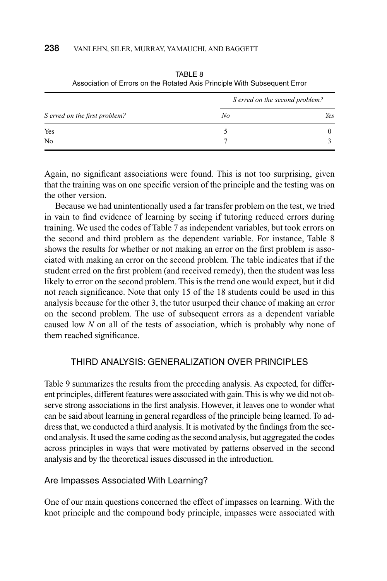| S erred on the first problem? | S erred on the second problem? |     |
|-------------------------------|--------------------------------|-----|
|                               | No                             | Yes |
| Yes                           |                                |     |
| N <sub>0</sub>                |                                |     |

TABLE 8 Association of Errors on the Rotated Axis Principle With Subsequent Error

Again, no significant associations were found. This is not too surprising, given that the training was on one specific version of the principle and the testing was on the other version.

Because we had unintentionally used a far transfer problem on the test, we tried in vain to find evidence of learning by seeing if tutoring reduced errors during training. We used the codes of Table 7 as independent variables, but took errors on the second and third problem as the dependent variable. For instance, Table 8 shows the results for whether or not making an error on the first problem is associated with making an error on the second problem. The table indicates that if the student erred on the first problem (and received remedy), then the student was less likely to error on the second problem. This is the trend one would expect, but it did not reach significance. Note that only 15 of the 18 students could be used in this analysis because for the other 3, the tutor usurped their chance of making an error on the second problem. The use of subsequent errors as a dependent variable caused low *N* on all of the tests of association, which is probably why none of them reached significance.

## THIRD ANALYSIS: GENERALIZATION OVER PRINCIPLES

Table 9 summarizes the results from the preceding analysis. As expected, for different principles, different features were associated with gain. This is why we did not observe strong associations in the first analysis. However, it leaves one to wonder what can be said about learning in general regardless of the principle being learned. To address that, we conducted a third analysis. It is motivated by the findings from the second analysis. It used the same coding as the second analysis, but aggregated the codes across principles in ways that were motivated by patterns observed in the second analysis and by the theoretical issues discussed in the introduction.

#### Are Impasses Associated With Learning?

One of our main questions concerned the effect of impasses on learning. With the knot principle and the compound body principle, impasses were associated with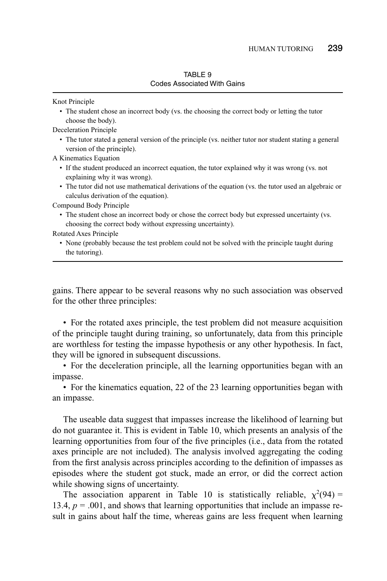TABLE 9 Codes Associated With Gains

Knot Principle

• The student chose an incorrect body (vs. the choosing the correct body or letting the tutor choose the body).

Deceleration Principle

• The tutor stated a general version of the principle (vs. neither tutor nor student stating a general version of the principle).

A Kinematics Equation

- If the student produced an incorrect equation, the tutor explained why it was wrong (vs. not explaining why it was wrong).
- The tutor did not use mathematical derivations of the equation (vs. the tutor used an algebraic or calculus derivation of the equation).

Compound Body Principle

• The student chose an incorrect body or chose the correct body but expressed uncertainty (vs. choosing the correct body without expressing uncertainty).

Rotated Axes Principle

• None (probably because the test problem could not be solved with the principle taught during the tutoring).

gains. There appear to be several reasons why no such association was observed for the other three principles:

• For the rotated axes principle, the test problem did not measure acquisition of the principle taught during training, so unfortunately, data from this principle are worthless for testing the impasse hypothesis or any other hypothesis. In fact, they will be ignored in subsequent discussions.

• For the deceleration principle, all the learning opportunities began with an impasse.

• For the kinematics equation, 22 of the 23 learning opportunities began with an impasse.

The useable data suggest that impasses increase the likelihood of learning but do not guarantee it. This is evident in Table 10, which presents an analysis of the learning opportunities from four of the five principles (i.e., data from the rotated axes principle are not included). The analysis involved aggregating the coding from the first analysis across principles according to the definition of impasses as episodes where the student got stuck, made an error, or did the correct action while showing signs of uncertainty.

The association apparent in Table 10 is statistically reliable,  $\chi^2(94)$  = 13.4,  $p = .001$ , and shows that learning opportunities that include an impasse result in gains about half the time, whereas gains are less frequent when learning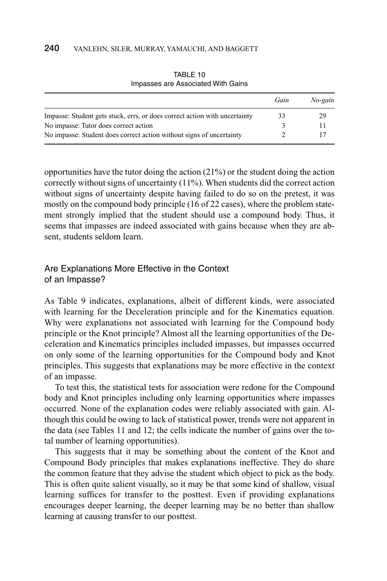|                                                                            | Gain | $No$ -gain |
|----------------------------------------------------------------------------|------|------------|
| Impasse: Student gets stuck, errs, or does correct action with uncertainty | 33   | 29         |
| No impasse: Tutor does correct action                                      |      |            |
| No impasse: Student does correct action without signs of uncertainty       |      |            |

TABLE 10 Impasses are Associated With Gains

opportunities have the tutor doing the action (21%) or the student doing the action correctly without signs of uncertainty (11%). When students did the correct action without signs of uncertainty despite having failed to do so on the pretest, it was mostly on the compound body principle (16 of 22 cases), where the problem statement strongly implied that the student should use a compound body. Thus, it seems that impasses are indeed associated with gains because when they are absent, students seldom learn.

## Are Explanations More Effective in the Context of an Impasse?

As Table 9 indicates, explanations, albeit of different kinds, were associated with learning for the Deceleration principle and for the Kinematics equation. Why were explanations not associated with learning for the Compound body principle or the Knot principle? Almost all the learning opportunities of the Deceleration and Kinematics principles included impasses, but impasses occurred on only some of the learning opportunities for the Compound body and Knot principles. This suggests that explanations may be more effective in the context of an impasse.

To test this, the statistical tests for association were redone for the Compound body and Knot principles including only learning opportunities where impasses occurred. None of the explanation codes were reliably associated with gain. Although this could be owing to lack of statistical power, trends were not apparent in the data (see Tables 11 and 12; the cells indicate the number of gains over the total number of learning opportunities).

This suggests that it may be something about the content of the Knot and Compound Body principles that makes explanations ineffective. They do share the common feature that they advise the student which object to pick as the body. This is often quite salient visually, so it may be that some kind of shallow, visual learning suffices for transfer to the posttest. Even if providing explanations encourages deeper learning, the deeper learning may be no better than shallow learning at causing transfer to our posttest.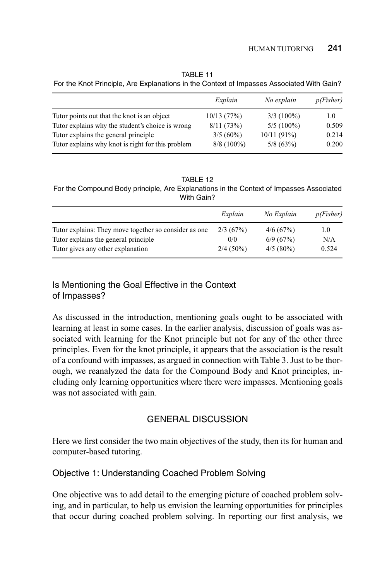TABLE 11

For the Knot Principle, Are Explanations in the Context of Impasses Associated With Gain?

|                                                   | Explain      | No explain   | p(Fisher) |
|---------------------------------------------------|--------------|--------------|-----------|
| Tutor points out that the knot is an object       | 10/13(77%)   | $3/3(100\%)$ | 1.0       |
| Tutor explains why the student's choice is wrong  | 8/11(73%)    | $5/5(100\%)$ | 0.509     |
| Tutor explains the general principle.             | $3/5(60\%)$  | 10/11(91%)   | 0.214     |
| Tutor explains why knot is right for this problem | $8/8$ (100%) | 5/8(63%)     | 0.200     |

TABLE 12 For the Compound Body principle, Are Explanations in the Context of Impasses Associated With Gain?

|                                                       | Explain     | No Explain  | p(Fisher) |
|-------------------------------------------------------|-------------|-------------|-----------|
| Tutor explains: They move together so consider as one | 2/3(67%)    | 4/6(67%)    | 1.0       |
| Tutor explains the general principle.                 | 0/0         | 6/9(67%)    | N/A       |
| Tutor gives any other explanation                     | $2/4(50\%)$ | $4/5(80\%)$ | 0.524     |

## Is Mentioning the Goal Effective in the Context of Impasses?

As discussed in the introduction, mentioning goals ought to be associated with learning at least in some cases. In the earlier analysis, discussion of goals was associated with learning for the Knot principle but not for any of the other three principles. Even for the knot principle, it appears that the association is the result of a confound with impasses, as argued in connection with Table 3. Just to be thorough, we reanalyzed the data for the Compound Body and Knot principles, including only learning opportunities where there were impasses. Mentioning goals was not associated with gain.

## GENERAL DISCUSSION

Here we first consider the two main objectives of the study, then its for human and computer-based tutoring.

## Objective 1: Understanding Coached Problem Solving

One objective was to add detail to the emerging picture of coached problem solving, and in particular, to help us envision the learning opportunities for principles that occur during coached problem solving. In reporting our first analysis, we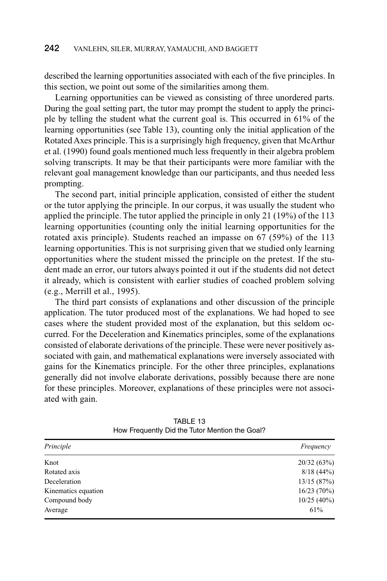described the learning opportunities associated with each of the five principles. In this section, we point out some of the similarities among them.

Learning opportunities can be viewed as consisting of three unordered parts. During the goal setting part, the tutor may prompt the student to apply the principle by telling the student what the current goal is. This occurred in 61% of the learning opportunities (see Table 13), counting only the initial application of the Rotated Axes principle. This is a surprisingly high frequency, given that McArthur et al. (1990) found goals mentioned much less frequently in their algebra problem solving transcripts. It may be that their participants were more familiar with the relevant goal management knowledge than our participants, and thus needed less prompting.

The second part, initial principle application, consisted of either the student or the tutor applying the principle. In our corpus, it was usually the student who applied the principle. The tutor applied the principle in only 21 (19%) of the 113 learning opportunities (counting only the initial learning opportunities for the rotated axis principle). Students reached an impasse on 67 (59%) of the 113 learning opportunities. This is not surprising given that we studied only learning opportunities where the student missed the principle on the pretest. If the student made an error, our tutors always pointed it out if the students did not detect it already, which is consistent with earlier studies of coached problem solving (e.g., Merrill et al., 1995).

The third part consists of explanations and other discussion of the principle application. The tutor produced most of the explanations. We had hoped to see cases where the student provided most of the explanation, but this seldom occurred. For the Deceleration and Kinematics principles, some of the explanations consisted of elaborate derivations of the principle. These were never positively associated with gain, and mathematical explanations were inversely associated with gains for the Kinematics principle. For the other three principles, explanations generally did not involve elaborate derivations, possibly because there are none for these principles. Moreover, explanations of these principles were not associated with gain.

| Principle           | Frequency  |
|---------------------|------------|
| Knot                | 20/32(63%) |
| Rotated axis        | 8/18(44%)  |
| Deceleration        | 13/15(87%) |
| Kinematics equation | 16/23(70%) |
| Compound body       | 10/25(40%) |
| Average             | 61%        |

TABLE 13 How Frequently Did the Tutor Mention the Goal?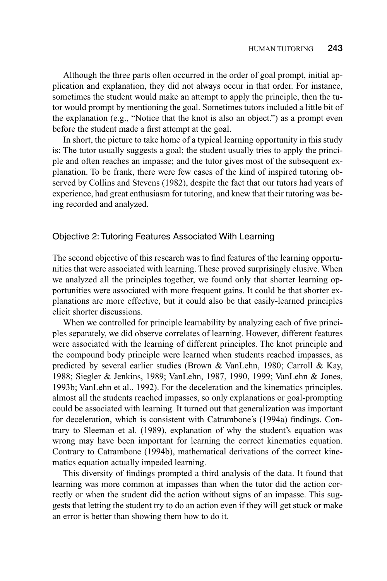Although the three parts often occurred in the order of goal prompt, initial application and explanation, they did not always occur in that order. For instance, sometimes the student would make an attempt to apply the principle, then the tutor would prompt by mentioning the goal. Sometimes tutors included a little bit of the explanation (e.g., "Notice that the knot is also an object.") as a prompt even before the student made a first attempt at the goal.

In short, the picture to take home of a typical learning opportunity in this study is: The tutor usually suggests a goal; the student usually tries to apply the principle and often reaches an impasse; and the tutor gives most of the subsequent explanation. To be frank, there were few cases of the kind of inspired tutoring observed by Collins and Stevens (1982), despite the fact that our tutors had years of experience, had great enthusiasm for tutoring, and knew that their tutoring was being recorded and analyzed.

## Objective 2: Tutoring Features Associated With Learning

The second objective of this research was to find features of the learning opportunities that were associated with learning. These proved surprisingly elusive. When we analyzed all the principles together, we found only that shorter learning opportunities were associated with more frequent gains. It could be that shorter explanations are more effective, but it could also be that easily-learned principles elicit shorter discussions.

When we controlled for principle learnability by analyzing each of five principles separately, we did observe correlates of learning. However, different features were associated with the learning of different principles. The knot principle and the compound body principle were learned when students reached impasses, as predicted by several earlier studies (Brown & VanLehn, 1980; Carroll & Kay, 1988; Siegler & Jenkins, 1989; VanLehn, 1987, 1990, 1999; VanLehn & Jones, 1993b; VanLehn et al., 1992). For the deceleration and the kinematics principles, almost all the students reached impasses, so only explanations or goal-prompting could be associated with learning. It turned out that generalization was important for deceleration, which is consistent with Catrambone's (1994a) findings. Contrary to Sleeman et al. (1989), explanation of why the student's equation was wrong may have been important for learning the correct kinematics equation. Contrary to Catrambone (1994b), mathematical derivations of the correct kinematics equation actually impeded learning.

This diversity of findings prompted a third analysis of the data. It found that learning was more common at impasses than when the tutor did the action correctly or when the student did the action without signs of an impasse. This suggests that letting the student try to do an action even if they will get stuck or make an error is better than showing them how to do it.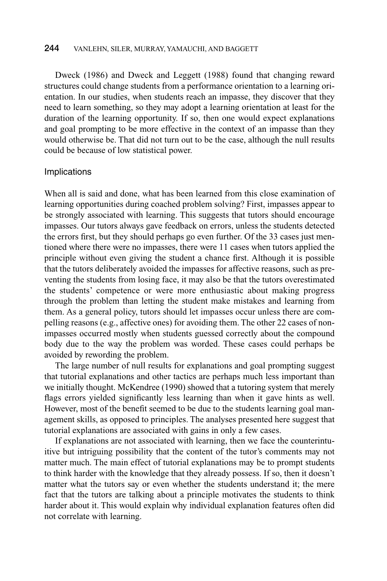#### **244** VANLEHN, SILER, MURRAY, YAMAUCHI, AND BAGGETT

Dweck (1986) and Dweck and Leggett (1988) found that changing reward structures could change students from a performance orientation to a learning orientation. In our studies, when students reach an impasse, they discover that they need to learn something, so they may adopt a learning orientation at least for the duration of the learning opportunity. If so, then one would expect explanations and goal prompting to be more effective in the context of an impasse than they would otherwise be. That did not turn out to be the case, although the null results could be because of low statistical power.

#### Implications

When all is said and done, what has been learned from this close examination of learning opportunities during coached problem solving? First, impasses appear to be strongly associated with learning. This suggests that tutors should encourage impasses. Our tutors always gave feedback on errors, unless the students detected the errors first, but they should perhaps go even further. Of the 33 cases just mentioned where there were no impasses, there were 11 cases when tutors applied the principle without even giving the student a chance first. Although it is possible that the tutors deliberately avoided the impasses for affective reasons, such as preventing the students from losing face, it may also be that the tutors overestimated the students' competence or were more enthusiastic about making progress through the problem than letting the student make mistakes and learning from them. As a general policy, tutors should let impasses occur unless there are compelling reasons (e.g., affective ones) for avoiding them. The other 22 cases of nonimpasses occurred mostly when students guessed correctly about the compound body due to the way the problem was worded. These cases could perhaps be avoided by rewording the problem.

The large number of null results for explanations and goal prompting suggest that tutorial explanations and other tactics are perhaps much less important than we initially thought. McKendree (1990) showed that a tutoring system that merely flags errors yielded significantly less learning than when it gave hints as well. However, most of the benefit seemed to be due to the students learning goal management skills, as opposed to principles. The analyses presented here suggest that tutorial explanations are associated with gains in only a few cases.

If explanations are not associated with learning, then we face the counterintuitive but intriguing possibility that the content of the tutor's comments may not matter much. The main effect of tutorial explanations may be to prompt students to think harder with the knowledge that they already possess. If so, then it doesn't matter what the tutors say or even whether the students understand it; the mere fact that the tutors are talking about a principle motivates the students to think harder about it. This would explain why individual explanation features often did not correlate with learning.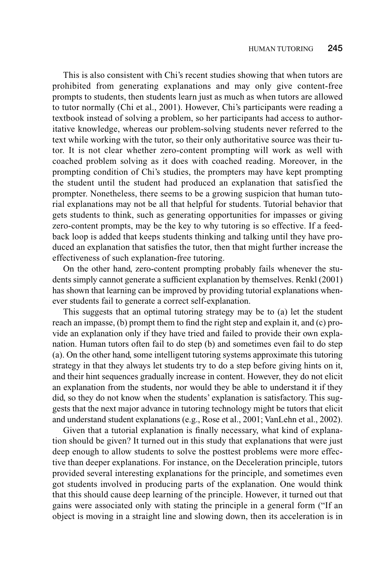This is also consistent with Chi's recent studies showing that when tutors are prohibited from generating explanations and may only give content-free prompts to students, then students learn just as much as when tutors are allowed to tutor normally (Chi et al., 2001). However, Chi's participants were reading a textbook instead of solving a problem, so her participants had access to authoritative knowledge, whereas our problem-solving students never referred to the text while working with the tutor, so their only authoritative source was their tutor. It is not clear whether zero-content prompting will work as well with coached problem solving as it does with coached reading. Moreover, in the prompting condition of Chi's studies, the prompters may have kept prompting the student until the student had produced an explanation that satisfied the prompter. Nonetheless, there seems to be a growing suspicion that human tutorial explanations may not be all that helpful for students. Tutorial behavior that gets students to think, such as generating opportunities for impasses or giving zero-content prompts, may be the key to why tutoring is so effective. If a feedback loop is added that keeps students thinking and talking until they have produced an explanation that satisfies the tutor, then that might further increase the effectiveness of such explanation-free tutoring.

On the other hand, zero-content prompting probably fails whenever the students simply cannot generate a sufficient explanation by themselves. Renkl (2001) has shown that learning can be improved by providing tutorial explanations whenever students fail to generate a correct self-explanation.

This suggests that an optimal tutoring strategy may be to (a) let the student reach an impasse, (b) prompt them to find the right step and explain it, and (c) provide an explanation only if they have tried and failed to provide their own explanation. Human tutors often fail to do step (b) and sometimes even fail to do step (a). On the other hand, some intelligent tutoring systems approximate this tutoring strategy in that they always let students try to do a step before giving hints on it, and their hint sequences gradually increase in content. However, they do not elicit an explanation from the students, nor would they be able to understand it if they did, so they do not know when the students' explanation is satisfactory. This suggests that the next major advance in tutoring technology might be tutors that elicit and understand student explanations (e.g., Rose et al., 2001; VanLehn et al., 2002).

Given that a tutorial explanation is finally necessary, what kind of explanation should be given? It turned out in this study that explanations that were just deep enough to allow students to solve the posttest problems were more effective than deeper explanations. For instance, on the Deceleration principle, tutors provided several interesting explanations for the principle, and sometimes even got students involved in producing parts of the explanation. One would think that this should cause deep learning of the principle. However, it turned out that gains were associated only with stating the principle in a general form ("If an object is moving in a straight line and slowing down, then its acceleration is in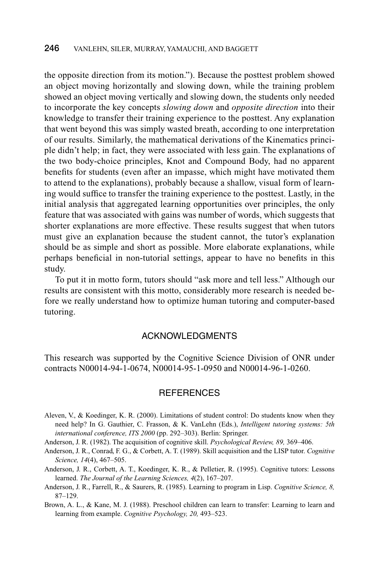the opposite direction from its motion."). Because the posttest problem showed an object moving horizontally and slowing down, while the training problem showed an object moving vertically and slowing down, the students only needed to incorporate the key concepts *slowing down* and *opposite direction* into their knowledge to transfer their training experience to the posttest. Any explanation that went beyond this was simply wasted breath, according to one interpretation of our results. Similarly, the mathematical derivations of the Kinematics principle didn't help; in fact, they were associated with less gain. The explanations of the two body-choice principles, Knot and Compound Body, had no apparent benefits for students (even after an impasse, which might have motivated them to attend to the explanations), probably because a shallow, visual form of learning would suffice to transfer the training experience to the posttest. Lastly, in the initial analysis that aggregated learning opportunities over principles, the only feature that was associated with gains was number of words, which suggests that shorter explanations are more effective. These results suggest that when tutors must give an explanation because the student cannot, the tutor's explanation should be as simple and short as possible. More elaborate explanations, while perhaps beneficial in non-tutorial settings, appear to have no benefits in this study.

To put it in motto form, tutors should "ask more and tell less." Although our results are consistent with this motto, considerably more research is needed before we really understand how to optimize human tutoring and computer-based tutoring.

# ACKNOWLEDGMENTS

This research was supported by the Cognitive Science Division of ONR under contracts N00014-94-1-0674, N00014-95-1-0950 and N00014-96-1-0260.

#### **REFERENCES**

- Aleven, V., & Koedinger, K. R. (2000). Limitations of student control: Do students know when they need help? In G. Gauthier, C. Frasson, & K. VanLehn (Eds.), *Intelligent tutoring systems: 5th international conference, ITS 2000* (pp. 292–303). Berlin: Springer.
- Anderson, J. R. (1982). The acquisition of cognitive skill. *Psychological Review, 89,* 369–406.
- Anderson, J. R., Conrad, F. G., & Corbett, A. T. (1989). Skill acquisition and the LISP tutor. *Cognitive Science, 14*(4), 467–505.
- Anderson, J. R., Corbett, A. T., Koedinger, K. R., & Pelletier, R. (1995). Cognitive tutors: Lessons learned. *The Journal of the Learning Sciences, 4*(2), 167–207.
- Anderson, J. R., Farrell, R., & Saurers, R. (1985). Learning to program in Lisp. *Cognitive Science, 8,* 87–129.

Brown, A. L., & Kane, M. J. (1988). Preschool children can learn to transfer: Learning to learn and learning from example. *Cognitive Psychology, 20,* 493–523.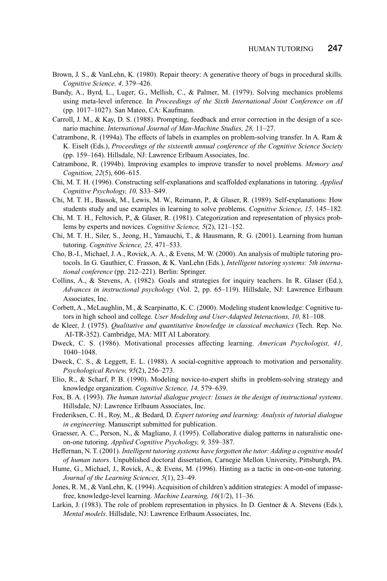- Brown, J. S., & VanLehn, K. (1980). Repair theory: A generative theory of bugs in procedural skills. *Cognitive Science, 4,* 379–426.
- Bundy, A., Byrd, L., Luger, G., Mellish, C., & Palmer, M. (1979). Solving mechanics problems using meta-level inference. In *Proceedings of the Sixth International Joint Conference on AI* (pp. 1017–1027). San Mateo, CA: Kaufmann.
- Carroll, J. M., & Kay, D. S. (1988). Prompting, feedback and error correction in the design of a scenario machine. *International Journal of Man-Machine Studies, 28,* 11–27.
- Catrambone, R. (1994a). The effects of labels in examples on problem-solving transfer. In A. Ram & K. Eiselt (Eds.), *Proceedings of the sixteenth annual conference of the Cognitive Science Society* (pp. 159–164). Hillsdale, NJ: Lawrence Erlbaum Associates, Inc.
- Catrambone, R. (1994b). Improving examples to improve transfer to novel problems. *Memory and Cognition, 22*(5), 606–615.
- Chi, M. T. H. (1996). Constructing self-explanations and scaffolded explanations in tutoring. *Applied Cognitive Psychology, 10,* S33–S49.
- Chi, M. T. H., Bassok, M., Lewis, M. W., Reimann, P., & Glaser, R. (1989). Self-explanations: How students study and use examples in learning to solve problems. *Cognitive Science, 15,* 145–182.
- Chi, M. T. H., Feltovich, P., & Glaser, R. (1981). Categorization and representation of physics problems by experts and novices. *Cognitive Science, 5*(2), 121–152.
- Chi, M. T. H., Siler, S., Jeong, H., Yamauchi, T., & Hausmann, R. G. (2001). Learning from human tutoring. *Cognitive Science, 25,* 471–533.
- Cho, B.-I., Michael, J. A., Rovick, A. A., & Evens, M. W. (2000). An analysis of multiple tutoring protocols. In G. Gauthier, C. Frasson, & K. VanLehn (Eds.), *Intelligent tutoring systems: 5th international conference* (pp. 212–221). Berlin: Springer.
- Collins, A., & Stevens, A. (1982). Goals and strategies for inquiry teachers. In R. Glaser (Ed.), *Advances in instructional psychology* (Vol. 2, pp. 65–119). Hillsdale, NJ: Lawrence Erlbaum Associates, Inc.
- Corbett, A., McLaughlin, M., & Scarpinatto, K. C. (2000). Modeling student knowledge: Cognitive tutors in high school and college. *User Modeling and User-Adapted Interactions, 10,* 81–108.
- de Kleer, J. (1975). *Qualitative and quantitative knowledge in classical mechanics* (Tech. Rep. No. AI-TR-352). Cambridge, MA: MIT AI Laboratory.
- Dweck, C. S. (1986). Motivational processes affecting learning. *American Psychologist, 41,* 1040–1048.
- Dweck, C. S., & Leggett, E. L. (1988). A social-cognitive approach to motivation and personality. *Psychological Review, 95*(2), 256–273.
- Elio, R., & Scharf, P. B. (1990). Modeling novice-to-expert shifts in problem-solving strategy and knowledge organization. *Cognitive Science, 14,* 579–639.
- Fox, B. A. (1993). *The human tutorial dialogue project: Issues in the design of instructional systems*. Hillsdale, NJ: Lawrence Erlbaum Associates, Inc.
- Frederiksen, C. H., Roy, M., & Bedard, D. *Expert tutoring and learning: Analysis of tutorial dialogue in engineering*. Manuscript submitted for publication.
- Graesser, A. C., Person, N., & Magliano, J. (1995). Collaborative dialog patterns in naturalistic oneon-one tutoring. *Applied Cognitive Psychology, 9,* 359–387.
- Heffernan, N. T. (2001). *Intelligent tutoring systems have forgotten the tutor: Adding a cognitive model of human tutors*. Unpublished doctoral dissertation, Carnegie Mellon University, Pittsburgh, PA.
- Hume, G., Michael, J., Rovick, A., & Evens, M. (1996). Hinting as a tactic in one-on-one tutoring. *Journal of the Learning Sciences, 5*(1), 23–49.
- Jones, R. M., & VanLehn, K. (1994). Acquisition of children's addition strategies: A model of impassefree, knowledge-level learning. *Machine Learning, 16*(1/2), 11–36.
- Larkin, J. (1983). The role of problem representation in physics. In D. Gentner & A. Stevens (Eds.), *Mental models*. Hillsdale, NJ: Lawrence Erlbaum Associates, Inc.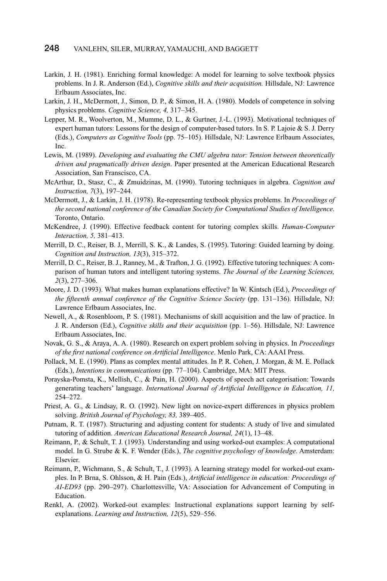- Larkin, J. H. (1981). Enriching formal knowledge: A model for learning to solve textbook physics problems. In J. R. Anderson (Ed.), *Cognitive skills and their acquisition.* Hillsdale, NJ: Lawrence Erlbaum Associates, Inc.
- Larkin, J. H., McDermott, J., Simon, D. P., & Simon, H. A. (1980). Models of competence in solving physics problems. *Cognitive Science, 4,* 317–345.
- Lepper, M. R., Woolverton, M., Mumme, D. L., & Gurtner, J.-L. (1993). Motivational techniques of expert human tutors: Lessons for the design of computer-based tutors. In S. P. Lajoie & S. J. Derry (Eds.), *Computers as Cognitive Tools* (pp. 75–105). Hillsdale, NJ: Lawrence Erlbaum Associates, Inc.
- Lewis, M. (1989). *Developing and evaluating the CMU algebra tutor: Tension between theoretically driven and pragmatically driven design*. Paper presented at the American Educational Research Association, San Franscisco, CA.
- McArthur, D., Stasz, C., & Zmuidzinas, M. (1990). Tutoring techniques in algebra. *Cognition and Instruction, 7*(3), 197–244.
- McDermott, J., & Larkin, J. H. (1978). Re-representing textbook physics problems. In *Proceedings of the second national conference of the Canadian Society for Computational Studies of Intelligence*. Toronto, Ontario.
- McKendree, J. (1990). Effective feedback content for tutoring complex skills. *Human-Computer Interaction, 5,* 381–413.
- Merrill, D. C., Reiser, B. J., Merrill, S. K., & Landes, S. (1995). Tutoring: Guided learning by doing. *Cognition and Instruction, 13*(3), 315–372.
- Merrill, D. C., Reiser, B. J., Ranney, M., & Trafton, J. G. (1992). Effective tutoring techniques: A comparison of human tutors and intelligent tutoring systems. *The Journal of the Learning Sciences, 2*(3), 277–306.
- Moore, J. D. (1993). What makes human explanations effective? In W. Kintsch (Ed.), *Proceedings of the fifteenth annual conference of the Cognitive Science Society* (pp. 131–136). Hillsdale, NJ: Lawrence Erlbaum Associates, Inc.
- Newell, A., & Rosenbloom, P. S. (1981). Mechanisms of skill acquisition and the law of practice. In J. R. Anderson (Ed.), *Cognitive skills and their acquisition* (pp. 1–56). Hillsdale, NJ: Lawrence Erlbaum Associates, Inc.
- Novak, G. S., & Araya, A. A. (1980). Research on expert problem solving in physics. In *Proceedings of the first national conference on Artificial Intelligence*. Menlo Park, CA: AAAI Press.
- Pollack, M. E. (1990). Plans as complex mental attitudes. In P. R. Cohen, J. Morgan, & M. E. Pollack (Eds.), *Intentions in communications* (pp. 77–104). Cambridge, MA: MIT Press.
- Porayska-Pomsta, K., Mellish, C., & Pain, H. (2000). Aspects of speech act categorisation: Towards generating teachers' language. *International Journal of Artificial Intelligence in Education, 11,* 254–272.
- Priest, A. G., & Lindsay, R. O. (1992). New light on novice-expert differences in physics problem solving. *British Journal of Psychology, 83,* 389–405.
- Putnam, R. T. (1987). Structuring and adjusting content for students: A study of live and simulated tutoring of addition. *American Educational Research Journal, 24*(1), 13–48.
- Reimann, P., & Schult, T. J. (1993). Understanding and using worked-out examples: A computational model. In G. Strube & K. F. Wender (Eds.), *The cognitive psychology of knowledge*. Amsterdam: Elsevier.
- Reimann, P., Wichmann, S., & Schult, T., J. (1993). A learning strategy model for worked-out examples. In P. Brna, S. Ohlsson, & H. Pain (Eds.), *Artificial intelligence in education: Proceedings of AI-ED93* (pp. 290–297). Charlottesville, VA: Association for Advancement of Computing in Education.
- Renkl, A. (2002). Worked-out examples: Instructional explanations support learning by selfexplanations. *Learning and Instruction, 12*(5), 529–556.